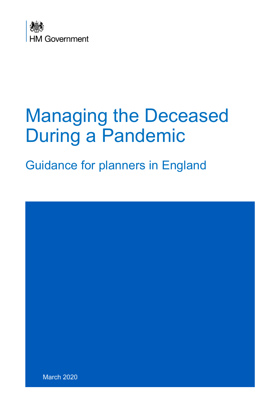

# Managing the Deceased During a Pandemic

Guidance for planners in England

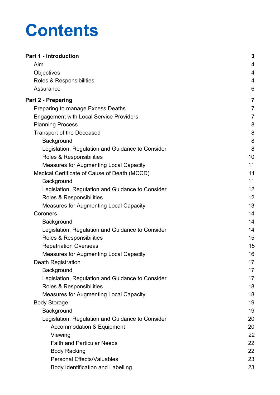# **Contents**

| <b>Part 1 - Introduction</b>                     | 3              |
|--------------------------------------------------|----------------|
| Aim                                              | 4              |
| Objectives                                       | 4              |
| Roles & Responsibilities                         | 4              |
| Assurance                                        | 6              |
| <b>Part 2 - Preparing</b>                        | $\overline{7}$ |
| Preparing to manage Excess Deaths                | $\overline{7}$ |
| <b>Engagement with Local Service Providers</b>   | 7              |
| <b>Planning Process</b>                          | 8              |
| <b>Transport of the Deceased</b>                 | 8              |
| Background                                       | 8              |
| Legislation, Regulation and Guidance to Consider | 8              |
| Roles & Responsibilities                         | 10             |
| <b>Measures for Augmenting Local Capacity</b>    | 11             |
| Medical Certificate of Cause of Death (MCCD)     | 11             |
| Background                                       | 11             |
| Legislation, Regulation and Guidance to Consider | 12             |
| Roles & Responsibilities                         | 12             |
| <b>Measures for Augmenting Local Capacity</b>    | 13             |
| Coroners                                         | 14             |
| Background                                       | 14             |
| Legislation, Regulation and Guidance to Consider | 14             |
| Roles & Responsibilities                         | 15             |
| <b>Repatriation Overseas</b>                     | 15             |
| <b>Measures for Augmenting Local Capacity</b>    | 16             |
| Death Registration                               | 17             |
| Background                                       | 17             |
| Legislation, Regulation and Guidance to Consider | 17             |
| Roles & Responsibilities                         | 18             |
| <b>Measures for Augmenting Local Capacity</b>    | 18             |
| <b>Body Storage</b>                              | 19             |
| Background                                       | 19             |
| Legislation, Regulation and Guidance to Consider | 20             |
| <b>Accommodation &amp; Equipment</b>             | 20             |
| Viewing                                          | 22             |
| <b>Faith and Particular Needs</b>                | 22             |
| <b>Body Racking</b>                              | 22             |
| <b>Personal Effects/Valuables</b>                | 23             |
| Body Identification and Labelling                | 23             |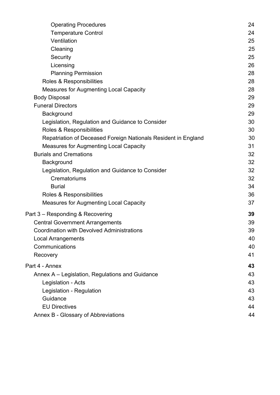| <b>Operating Procedures</b>                                    | 24 |
|----------------------------------------------------------------|----|
| <b>Temperature Control</b>                                     | 24 |
| Ventilation                                                    | 25 |
| Cleaning                                                       | 25 |
| Security                                                       | 25 |
| Licensing                                                      | 26 |
| <b>Planning Permission</b>                                     | 28 |
| Roles & Responsibilities                                       | 28 |
| <b>Measures for Augmenting Local Capacity</b>                  | 28 |
| <b>Body Disposal</b>                                           | 29 |
| <b>Funeral Directors</b>                                       | 29 |
| Background                                                     | 29 |
| Legislation, Regulation and Guidance to Consider               | 30 |
| Roles & Responsibilities                                       | 30 |
| Repatriation of Deceased Foreign Nationals Resident in England | 30 |
| <b>Measures for Augmenting Local Capacity</b>                  | 31 |
| <b>Burials and Cremations</b>                                  | 32 |
| Background                                                     | 32 |
| Legislation, Regulation and Guidance to Consider               | 32 |
| Crematoriums                                                   | 32 |
| <b>Burial</b>                                                  | 34 |
| Roles & Responsibilities                                       | 36 |
| <b>Measures for Augmenting Local Capacity</b>                  | 37 |
| Part 3 – Responding & Recovering                               | 39 |
| <b>Central Government Arrangements</b>                         | 39 |
| <b>Coordination with Devolved Administrations</b>              | 39 |
| <b>Local Arrangements</b>                                      | 40 |
| Communications                                                 | 40 |
| Recovery                                                       | 41 |
| Part 4 - Annex                                                 | 43 |
| Annex A – Legislation, Regulations and Guidance                | 43 |
| Legislation - Acts                                             | 43 |
| Legislation - Regulation                                       | 43 |
| Guidance                                                       | 43 |
| <b>EU Directives</b>                                           | 44 |
| Annex B - Glossary of Abbreviations                            | 44 |
|                                                                |    |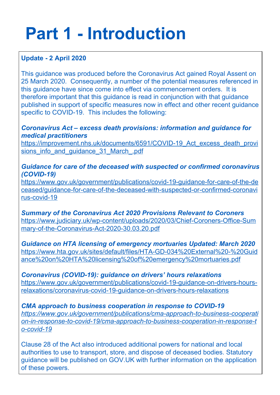# <span id="page-4-0"></span>**Part 1 - Introduction**

# **Update - 2 April 2020**

This guidance was produced before the Coronavirus Act gained Royal Assent on 25 March 2020. Consequently, a number of the potential measures referenced in this guidance have since come into effect via commencement orders. It is therefore important that this guidance is read in conjunction with that guidance published in support of specific measures now in effect and other recent guidance specific to COVID-19. This includes the following:

*Coronavirus Act – excess death provisions: information and guidance for medical practitioners*

https://improvement.nhs.uk/documents/6591/COVID-19 Act excess death provi sions\_info\_and\_quidance\_31\_March\_.pdf

# *Guidance for care of the deceased with suspected or confirmed coronavirus (COVID-19)*

https://www.gov.uk/government/publications/covid-19-guidance-for-care-of-the-de ceased/guidance-for-care-of-the-deceased-with-suspected-or-confirmed-coronavi rus-covid-19

*Summary of the Coronavirus Act 2020 Provisions Relevant to Coroners* https://www.judiciary.uk/wp-content/uploads/2020/03/Chief-Coroners-Office-Sum mary-of-the-Coronavirus-Act-2020-30.03.20.pdf

*Guidance on HTA licensing of emergency mortuaries Updated: March 2020* https://www.hta.gov.uk/sites/default/files/HTA-GD-034%20External%20-%20Guid ance%20on%20HTA%20licensing%20of%20emergency%20mortuaries.pdf

*Coronavirus (COVID-19): guidance on drivers' hours relaxations* https://www.gov.uk/government/publications/covid-19-guidance-on-drivers-hoursrelaxations/coronavirus-covid-19-guidance-on-drivers-hours-relaxations

*CMA approach to business cooperation in response to COVID-19 https://www.gov.uk/government/publications/cma-approach-to-business-cooperati on-in-response-to-covid-19/cma-approach-to-business-cooperation-in-response-t o-covid-19*

Clause 28 of the Act also introduced additional powers for national and local authorities to use to transport, store, and dispose of deceased bodies. Statutory guidance will be published on GOV.UK with further information on the application of these powers.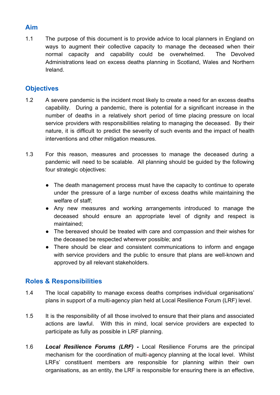# <span id="page-5-0"></span>**Aim**

1.1 The purpose of this document is to provide advice to local planners in England on ways to augment their collective capacity to manage the deceased when their normal capacity and capability could be overwhelmed. The Devolved Administrations lead on excess deaths planning in Scotland, Wales and Northern Ireland.

# <span id="page-5-1"></span>**Objectives**

- 1.2 A severe pandemic is the incident most likely to create a need for an excess deaths capability. During a pandemic, there is potential for a significant increase in the number of deaths in a relatively short period of time placing pressure on local service providers with responsibilities relating to managing the deceased. By their nature, it is difficult to predict the severity of such events and the impact of health interventions and other mitigation measures.
- 1.3 For this reason, measures and processes to manage the deceased during a pandemic will need to be scalable. All planning should be guided by the following four strategic objectives:
	- The death management process must have the capacity to continue to operate under the pressure of a large number of excess deaths while maintaining the welfare of staff;
	- Any new measures and working arrangements introduced to manage the deceased should ensure an appropriate level of dignity and respect is maintained;
	- The bereaved should be treated with care and compassion and their wishes for the deceased be respected wherever possible; and
	- There should be clear and consistent communications to inform and engage with service providers and the public to ensure that plans are well-known and approved by all relevant stakeholders.

# <span id="page-5-2"></span>**Roles & Responsibilities**

- 1.4 The local capability to manage excess deaths comprises individual organisations' plans in support of a multi-agency plan held at Local Resilience Forum (LRF) level.
- 1.5 It is the responsibility of all those involved to ensure that their plans and associated actions are lawful. With this in mind, local service providers are expected to participate as fully as possible in LRF planning.
- 1.6 *Local Resilience Forums (LRF) -* Local Resilience Forums are the principal mechanism for the coordination of multi-agency planning at the local level. Whilst LRFs' constituent members are responsible for planning within their own organisations, as an entity, the LRF is responsible for ensuring there is an effective,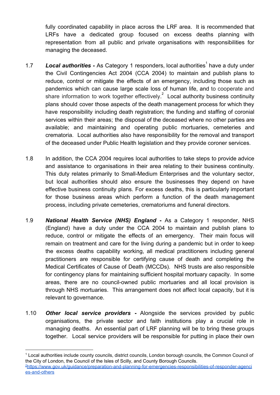fully coordinated capability in place across the LRF area. It is recommended that LRFs have a dedicated group focused on excess deaths planning with representation from all public and private organisations with responsibilities for managing the deceased.

- 1.7 **Local authorities** As Category 1 responders, local authorities have a duty under the Civil Contingencies Act 2004 (CCA 2004) to maintain and publish plans to reduce, control or mitigate the effects of an emergency, including those such as pandemics which can cause large scale loss of human life, and to cooperate and share information to work together effectively.<sup>2</sup> Local authority business continuity plans should cover those aspects of the death management process for which they have responsibility including death registration; the funding and staffing of coronial services within their areas; the disposal of the deceased where no other parties are available; and maintaining and operating public mortuaries, cemeteries and crematoria. Local authorities also have responsibility for the removal and transport of the deceased under Public Health legislation and they provide coroner services.
- 1.8 In addition, the CCA 2004 requires local authorities to take steps to provide advice and assistance to organisations in their area relating to their business continuity. This duty relates primarily to Small-Medium Enterprises and the voluntary sector, but local authorities should also ensure the businesses they depend on have effective business continuity plans. For excess deaths, this is particularly important for those business areas which perform a function of the death management process, including private cemeteries, crematoriums and funeral directors.
- 1.9 *National Health Service (NHS) England* **-** As a Category 1 responder, NHS (England) have a duty under the CCA 2004 to maintain and publish plans to reduce, control or mitigate the effects of an emergency. Their main focus will remain on treatment and care for the living during a pandemic but in order to keep the excess deaths capability working, all medical practitioners including general practitioners are responsible for certifying cause of death and completing the Medical Certificates of Cause of Death (MCCDs). NHS trusts are also responsible for contingency plans for maintaining sufficient hospital mortuary capacity. In some areas, there are no council-owned public mortuaries and all local provision is through NHS mortuaries. This arrangement does not affect local capacity, but it is relevant to governance.
- 1.10 *Other local service providers* **-** Alongside the services provided by public organisations, the private sector and faith institutions play a crucial role in managing deaths. An essential part of LRF planning will be to bring these groups together. Local service providers will be responsible for putting in place their own

<sup>1</sup> Local authorities include county councils, district councils, London borough councils, the Common Council of the City of London, the Council of the Isles of Scilly, and County Borough Councils. <sup>2</sup>[https://www.gov.uk/guidance/preparation-and-planning-for-emergencies-responsibilities-of-responder-agenci](https://www.gov.uk/guidance/preparation-and-planning-for-emergencies-responsibilities-of-responder-agencies-and-others)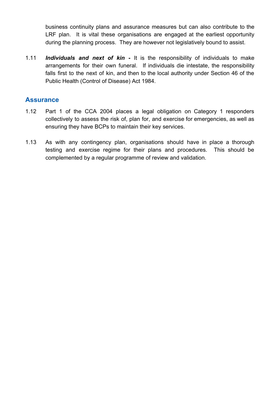business continuity plans and assurance measures but can also contribute to the LRF plan. It is vital these organisations are engaged at the earliest opportunity during the planning process. They are however not legislatively bound to assist.

1.11 *Individuals and next of kin* **-** It is the responsibility of individuals to make arrangements for their own funeral. If individuals die intestate, the responsibility falls first to the next of kin, and then to the local authority under Section 46 of the Public Health (Control of Disease) Act 1984.

# <span id="page-7-0"></span>**Assurance**

- 1.12 Part 1 of the CCA 2004 places a legal obligation on Category 1 responders collectively to assess the risk of, plan for, and exercise for emergencies, as well as ensuring they have BCPs to maintain their key services.
- 1.13 As with any contingency plan, organisations should have in place a thorough testing and exercise regime for their plans and procedures. This should be complemented by a regular programme of review and validation.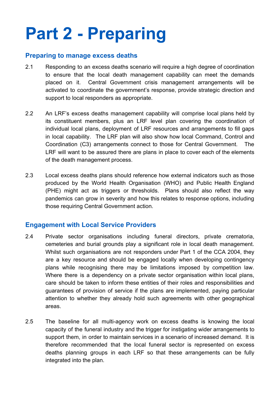# <span id="page-8-0"></span>**Part 2 - Preparing**

# <span id="page-8-1"></span>**Preparing to manage excess deaths**

- 2.1 Responding to an excess deaths scenario will require a high degree of coordination to ensure that the local death management capability can meet the demands placed on it. Central Government crisis management arrangements will be activated to coordinate the government's response, provide strategic direction and support to local responders as appropriate.
- 2.2 An LRF's excess deaths management capability will comprise local plans held by its constituent members, plus an LRF level plan covering the coordination of individual local plans, deployment of LRF resources and arrangements to fill gaps in local capability. The LRF plan will also show how local Command, Control and Coordination (C3) arrangements connect to those for Central Government. The LRF will want to be assured there are plans in place to cover each of the elements of the death management process.
- 2.3 Local excess deaths plans should reference how external indicators such as those produced by the World Health Organisation (WHO) and Public Health England (PHE) might act as triggers or thresholds. Plans should also reflect the way pandemics can grow in severity and how this relates to response options, including those requiring Central Government action.

# <span id="page-8-2"></span>**Engagement with Local Service Providers**

- 2.4 Private sector organisations including funeral directors, private crematoria, cemeteries and burial grounds play a significant role in local death management. Whilst such organisations are not responders under Part 1 of the CCA 2004, they are a key resource and should be engaged locally when developing contingency plans while recognising there may be limitations imposed by competition law. Where there is a dependency on a private sector organisation within local plans, care should be taken to inform these entities of their roles and responsibilities and guarantees of provision of service if the plans are implemented, paying particular attention to whether they already hold such agreements with other geographical areas.
- 2.5 The baseline for all multi-agency work on excess deaths is knowing the local capacity of the funeral industry and the trigger for instigating wider arrangements to support them, in order to maintain services in a scenario of increased demand. It is therefore recommended that the local funeral sector is represented on excess deaths planning groups in each LRF so that these arrangements can be fully integrated into the plan.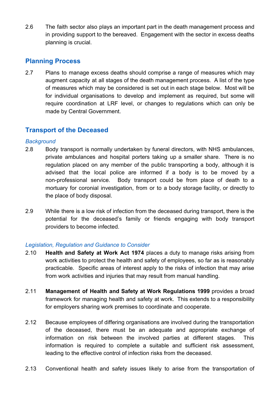2.6 The faith sector also plays an important part in the death management process and in providing support to the bereaved. Engagement with the sector in excess deaths planning is crucial.

# <span id="page-9-0"></span>**Planning Process**

2.7 Plans to manage excess deaths should comprise a range of measures which may augment capacity at all stages of the death management process. A list of the type of measures which may be considered is set out in each stage below. Most will be for individual organisations to develop and implement as required, but some will require coordination at LRF level, or changes to regulations which can only be made by Central Government.

# <span id="page-9-1"></span>**Transport of the Deceased**

## <span id="page-9-2"></span>*Background*

- 2.8 Body transport is normally undertaken by funeral directors, with NHS ambulances, private ambulances and hospital porters taking up a smaller share. There is no regulation placed on any member of the public transporting a body, although it is advised that the local police are informed if a body is to be moved by a non-professional service. Body transport could be from place of death to a mortuary for coronial investigation, from or to a body storage facility, or directly to the place of body disposal.
- 2.9 While there is a low risk of infection from the deceased during transport, there is the potential for the deceased's family or friends engaging with body transport providers to become infected.

## <span id="page-9-3"></span>*Legislation, Regulation and Guidance to Consider*

- 2.10 **Health and Safety at Work Act 1974** places a duty to manage risks arising from work activities to protect the health and safety of employees, so far as is reasonably practicable. Specific areas of interest apply to the risks of infection that may arise from work activities and injuries that may result from manual handling.
- 2.11 **Management of Health and Safety at Work Regulations 1999** provides a broad framework for managing health and safety at work. This extends to a responsibility for employers sharing work premises to coordinate and cooperate.
- 2.12 Because employees of differing organisations are involved during the transportation of the deceased, there must be an adequate and appropriate exchange of information on risk between the involved parties at different stages. This information is required to complete a suitable and sufficient risk assessment, leading to the effective control of infection risks from the deceased.
- 2.13 Conventional health and safety issues likely to arise from the transportation of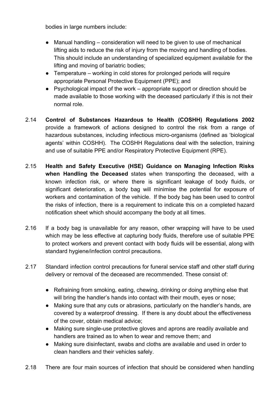bodies in large numbers include:

- Manual handling consideration will need to be given to use of mechanical lifting aids to reduce the risk of injury from the moving and handling of bodies. This should include an understanding of specialized equipment available for the lifting and moving of bariatric bodies;
- Temperature working in cold stores for prolonged periods will require appropriate Personal Protective Equipment (PPE); and
- Psychological impact of the work appropriate support or direction should be made available to those working with the deceased particularly if this is not their normal role.
- 2.14 **Control of Substances Hazardous to Health (COSHH) Regulations 2002** provide a framework of actions designed to control the risk from a range of hazardous substances, including infectious micro-organisms (defined as 'biological agents' within COSHH). The COSHH Regulations deal with the selection, training and use of suitable PPE and/or Respiratory Protective Equipment (RPE).
- 2.15 **Health and Safety Executive (HSE) Guidance on Managing Infection Risks when Handling the Deceased** states when transporting the deceased, with a known infection risk, or where there is significant leakage of body fluids, or significant deterioration, a body bag will minimise the potential for exposure of workers and contamination of the vehicle. If the body bag has been used to control the risks of infection, there is a requirement to indicate this on a completed hazard notification sheet which should accompany the body at all times.
- 2.16 If a body bag is unavailable for any reason, other wrapping will have to be used which may be less effective at capturing body fluids, therefore use of suitable PPE to protect workers and prevent contact with body fluids will be essential, along with standard hygiene/infection control precautions.
- 2.17 Standard infection control precautions for funeral service staff and other staff during delivery or removal of the deceased are recommended. These consist of:
	- Refraining from smoking, eating, chewing, drinking or doing anything else that will bring the handler's hands into contact with their mouth, eyes or nose;
	- Making sure that any cuts or abrasions, particularly on the handler's hands, are covered by a waterproof dressing. If there is any doubt about the effectiveness of the cover, obtain medical advice;
	- Making sure single-use protective gloves and aprons are readily available and handlers are trained as to when to wear and remove them; and
	- Making sure disinfectant, swabs and cloths are available and used in order to clean handlers and their vehicles safely.
- 2.18 There are four main sources of infection that should be considered when handling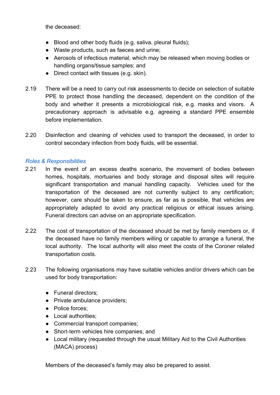the deceased:

- Blood and other body fluids (e.g. saliva, pleural fluids);
- Waste products, such as faeces and urine;
- Aerosols of infectious material, which may be released when moving bodies or handling organs/tissue samples; and
- Direct contact with tissues (e.g. skin).
- 2.19 There will be a need to carry out risk assessments to decide on selection of suitable PPE to protect those handling the deceased, dependent on the condition of the body and whether it presents a microbiological risk, e.g. masks and visors. A precautionary approach is advisable e.g. agreeing a standard PPE ensemble before implementation.
- 2.20 Disinfection and cleaning of vehicles used to transport the deceased, in order to control secondary infection from body fluids, will be essential.

#### <span id="page-11-0"></span>*Roles & Responsibilities*

- 2.21 In the event of an excess deaths scenario, the movement of bodies between homes, hospitals, mortuaries and body storage and disposal sites will require significant transportation and manual handling capacity. Vehicles used for the transportation of the deceased are not currently subject to any certification; however, care should be taken to ensure, as far as is possible, that vehicles are appropriately adapted to avoid any practical religious or ethical issues arising. Funeral directors can advise on an appropriate specification.
- 2.22 The cost of transportation of the deceased should be met by family members or, if the deceased have no family members willing or capable to arrange a funeral, the local authority. The local authority will also meet the costs of the Coroner related transportation costs.
- 2.23 The following organisations may have suitable vehicles and/or drivers which can be used for body transportation:
	- Funeral directors;
	- Private ambulance providers;
	- Police forces;
	- Local authorities;
	- Commercial transport companies;
	- Short-term vehicles hire companies; and
	- Local military (requested through the usual Military Aid to the Civil Authorities (MACA) process)

Members of the deceased's family may also be prepared to assist.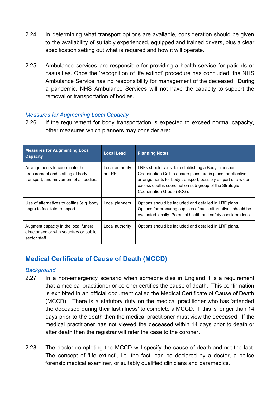- 2.24 In determining what transport options are available, consideration should be given to the availability of suitably experienced, equipped and trained drivers, plus a clear specification setting out what is required and how it will operate.
- 2.25 Ambulance services are responsible for providing a health service for patients or casualties. Once the 'recognition of life extinct' procedure has concluded, the NHS Ambulance Service has no responsibility for management of the deceased. During a pandemic, NHS Ambulance Services will not have the capacity to support the removal or transportation of bodies.

# <span id="page-12-0"></span>*Measures for Augmenting Local Capacity*

2.26 If the requirement for body transportation is expected to exceed normal capacity, other measures which planners may consider are:

| <b>Measures for Augmenting Local</b><br><b>Capacity</b>                                                      | <b>Local Lead</b>         | <b>Planning Notes</b>                                                                                                                                                                                                                                                    |
|--------------------------------------------------------------------------------------------------------------|---------------------------|--------------------------------------------------------------------------------------------------------------------------------------------------------------------------------------------------------------------------------------------------------------------------|
| Arrangements to coordinate the<br>procurement and staffing of body<br>transport, and movement of all bodies. | Local authority<br>or LRF | LRFs should consider establishing a Body Transport<br>Coordination Cell to ensure plans are in place for effective<br>arrangements for body transport, possibly as part of a wider<br>excess deaths coordination sub-group of the Strategic<br>Coordination Group (SCG). |
| Use of alternatives to coffins (e.g. body<br>bags) to facilitate transport.                                  | Local planners            | Options should be included and detailed in LRF plans.<br>Options for procuring supplies of such alternatives should be<br>evaluated locally. Potential health and safety considerations.                                                                                 |
| Augment capacity in the local funeral<br>director sector with voluntary or public<br>sector staff.           | Local authority           | Options should be included and detailed in LRF plans.                                                                                                                                                                                                                    |

# <span id="page-12-1"></span>**Medical Certificate of Cause of Death (MCCD)**

## <span id="page-12-2"></span>*Background*

- 2.27 In a non-emergency scenario when someone dies in England it is a requirement that a medical practitioner or coroner certifies the cause of death. This confirmation is exhibited in an official document called the Medical Certificate of Cause of Death (MCCD). There is a statutory duty on the medical practitioner who has 'attended the deceased during their last illness' to complete a MCCD. If this is longer than 14 days prior to the death then the medical practitioner must view the deceased. If the medical practitioner has not viewed the deceased within 14 days prior to death or after death then the registrar will refer the case to the coroner.
- 2.28 The doctor completing the MCCD will specify the cause of death and not the fact. The concept of 'life extinct', i.e. the fact, can be declared by a doctor, a police forensic medical examiner, or suitably qualified clinicians and paramedics.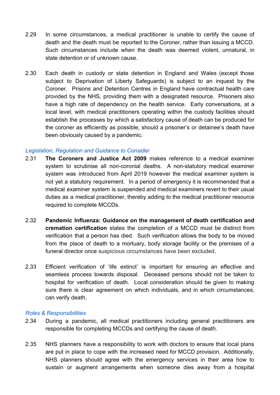- 2.29 In some circumstances, a medical practitioner is unable to certify the cause of death and the death must be reported to the Coroner, rather than issuing a MCCD. Such circumstances include when the death was deemed violent, unnatural, in state detention or of unknown cause.
- 2.30 Each death in custody or state detention in England and Wales (except those subject to Deprivation of Liberty Safeguards) is subject to an inquest by the Coroner. Prisons and Detention Centres in England have contractual health care provided by the NHS, providing them with a designated resource. Prisoners also have a high rate of dependency on the health service. Early conversations, at a local level, with medical practitioners operating within the custody facilities should establish the processes by which a satisfactory cause of death can be produced for the coroner as efficiently as possible, should a prisoner's or detainee's death have been obviously caused by a pandemic.

#### <span id="page-13-0"></span>*Legislation, Regulation and Guidance to Consider*

- 2.31 **The Coroners and Justice Act 2009** makes reference to a medical examiner system to scrutinise all non-coronial deaths. A non-statutory medical examiner system was introduced from April 2019 however the medical examiner system is not yet a statutory requirement. In a period of emergency it is recommended that a medical examiner system is suspended and medical examiners revert to their usual duties as a medical practitioner, thereby adding to the medical practitioner resource required to complete MCCDs.
- 2.32 **Pandemic Influenza: Guidance on the management of death certification and cremation certification** states the completion of a MCCD must be distinct from verification that a person has died. Such verification allows the body to be moved from the place of death to a mortuary, body storage facility or the premises of a funeral director once suspicious circumstances have been excluded.
- 2.33 Efficient verification of 'life extinct' is important for ensuring an effective and seamless process towards disposal. Deceased persons should not be taken to hospital for verification of death. Local consideration should be given to making sure there is clear agreement on which individuals, and in which circumstances, can verify death.

#### <span id="page-13-1"></span>*Roles & Responsibilities*

- 2.34 During a pandemic, all medical practitioners including general practitioners are responsible for completing MCCDs and certifying the cause of death.
- 2.35 NHS planners have a responsibility to work with doctors to ensure that local plans are put in place to cope with the increased need for MCCD provision. Additionally, NHS planners should agree with the emergency services in their area how to sustain or augment arrangements when someone dies away from a hospital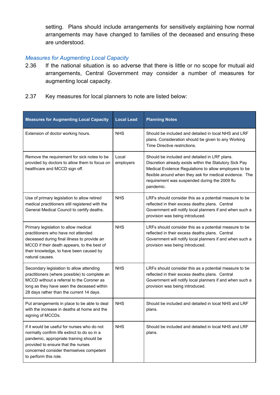setting. Plans should include arrangements for sensitively explaining how normal arrangements may have changed to families of the deceased and ensuring these are understood.

# <span id="page-14-0"></span>*Measures for Augmenting Local Capacity*

- 2.36 If the national situation is so adverse that there is little or no scope for mutual aid arrangements, Central Government may consider a number of measures for augmenting local capacity.
- 2.37 Key measures for local planners to note are listed below:

| <b>Measures for Augmenting Local Capacity</b>                                                                                                                                                                                                    | <b>Local Lead</b>  | <b>Planning Notes</b>                                                                                                                                                                                                                                                                      |
|--------------------------------------------------------------------------------------------------------------------------------------------------------------------------------------------------------------------------------------------------|--------------------|--------------------------------------------------------------------------------------------------------------------------------------------------------------------------------------------------------------------------------------------------------------------------------------------|
| Extension of doctor working hours.                                                                                                                                                                                                               | <b>NHS</b>         | Should be included and detailed in local NHS and LRF<br>plans. Consideration should be given to any Working<br>Time Directive restrictions.                                                                                                                                                |
| Remove the requirement for sick notes to be<br>provided by doctors to allow them to focus on<br>healthcare and MCCD sign off.                                                                                                                    | Local<br>employers | Should be included and detailed in LRF plans.<br>Discretion already exists within the Statutory Sick Pay<br>Medical Evidence Regulations to allow employers to be<br>flexible around when they ask for medical evidence. The<br>requirement was suspended during the 2009 flu<br>pandemic. |
| Use of primary legislation to allow retired<br>medical practitioners still registered with the<br>General Medical Council to certify deaths.                                                                                                     | <b>NHS</b>         | LRFs should consider this as a potential measure to be<br>reflected in their excess deaths plans. Central<br>Government will notify local planners if and when such a<br>provision was being introduced.                                                                                   |
| Primary legislation to allow medical<br>practitioners who have not attended<br>deceased during final illness to provide an<br>MCCD if their death appears, to the best of<br>their knowledge, to have been caused by<br>natural causes.          | <b>NHS</b>         | LRFs should consider this as a potential measure to be<br>reflected in their excess deaths plans. Central<br>Government will notify local planners if and when such a<br>provision was being introduced.                                                                                   |
| Secondary legislation to allow attending<br>practitioners (where possible) to complete an<br>MCCD without a referral to the Coroner as<br>long as they have seen the deceased within<br>28 days rather than the current 14 days.                 | <b>NHS</b>         | LRFs should consider this as a potential measure to be<br>reflected in their excess deaths plans. Central<br>Government will notify local planners if and when such a<br>provision was being introduced.                                                                                   |
| Put arrangements in place to be able to deal<br>with the increase in deaths at home and the<br>signing of MCCDs.                                                                                                                                 | <b>NHS</b>         | Should be included and detailed in local NHS and LRF<br>plans.                                                                                                                                                                                                                             |
| If it would be useful for nurses who do not<br>normally confirm life extinct to do so in a<br>pandemic, appropriate training should be<br>provided to ensure that the nurses<br>concerned consider themselves competent<br>to perform this role. | <b>NHS</b>         | Should be included and detailed in local NHS and LRF<br>plans.                                                                                                                                                                                                                             |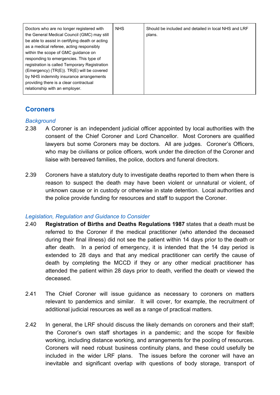| Doctors who are no longer registered with<br>the General Medical Council (GMC) may still<br>be able to assist in certifying death or acting<br>as a medical referee, acting responsibly<br>within the scope of GMC guidance on<br>responding to emergencies. This type of<br>registration is called Temporary Registration<br>(Emergency) (TR(E)). TR(E) will be covered<br>by NHS indemnity insurance arrangements<br>providing there is a clear contractual<br>relationship with an employer. | <b>NHS</b> | Should be included and detailed in local NHS and LRF<br>plans. |
|-------------------------------------------------------------------------------------------------------------------------------------------------------------------------------------------------------------------------------------------------------------------------------------------------------------------------------------------------------------------------------------------------------------------------------------------------------------------------------------------------|------------|----------------------------------------------------------------|
|-------------------------------------------------------------------------------------------------------------------------------------------------------------------------------------------------------------------------------------------------------------------------------------------------------------------------------------------------------------------------------------------------------------------------------------------------------------------------------------------------|------------|----------------------------------------------------------------|

# <span id="page-15-0"></span>**Coroners**

## <span id="page-15-1"></span>*Background*

- 2.38 A Coroner is an independent judicial officer appointed by local authorities with the consent of the Chief Coroner and Lord Chancellor. Most Coroners are qualified lawyers but some Coroners may be doctors. All are judges. Coroner's Officers, who may be civilians or police officers, work under the direction of the Coroner and liaise with bereaved families, the police, doctors and funeral directors.
- 2.39 Coroners have a statutory duty to investigate deaths reported to them when there is reason to suspect the death may have been violent or unnatural or violent, of unknown cause or in custody or otherwise in state detention. Local authorities and the police provide funding for resources and staff to support the Coroner.

## <span id="page-15-2"></span>*Legislation, Regulation and Guidance to Consider*

- 2.40 **Registration of Births and Deaths Regulations 1987** states that a death must be referred to the Coroner if the medical practitioner (who attended the deceased during their final illness) did not see the patient within 14 days prior to the death or after death. In a period of emergency, it is intended that the 14 day period is extended to 28 days and that any medical practitioner can certify the cause of death by completing the MCCD if they or any other medical practitioner has attended the patient within 28 days prior to death, verified the death or viewed the deceased.
- 2.41 The Chief Coroner will issue guidance as necessary to coroners on matters relevant to pandemics and similar. It will cover, for example, the recruitment of additional judicial resources as well as a range of practical matters.
- 2.42 In general, the LRF should discuss the likely demands on coroners and their staff; the Coroner's own staff shortages in a pandemic; and the scope for flexible working, including distance working, and arrangements for the pooling of resources. Coroners will need robust business continuity plans, and these could usefully be included in the wider LRF plans. The issues before the coroner will have an inevitable and significant overlap with questions of body storage, transport of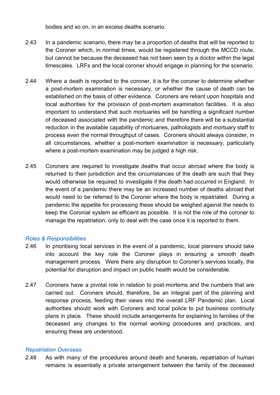bodies and so on, in an excess deaths scenario.

- 2.43 In a pandemic scenario, there may be a proportion of deaths that will be reported to the Coroner which, in normal times, would be registered through the MCCD route, but cannot be because the deceased has not been seen by a doctor within the legal timescales. LRFs and the local coroner should engage in planning for the scenario.
- 2.44 Where a death is reported to the coroner, it is for the coroner to determine whether a post-mortem examination is necessary, or whether the cause of death can be established on the basis of other evidence. Coroners are reliant upon hospitals and local authorities for the provision of post-mortem examination facilities. It is also important to understand that such mortuaries will be handling a significant number of deceased associated with the pandemic and therefore there will be a substantial reduction in the available capability of mortuaries, pathologists and mortuary staff to process even the normal throughput of cases. Coroners should always consider, in all circumstances, whether a post-mortem examination is necessary, particularly where a post-mortem examination may be judged a high risk.
- 2.45 Coroners are required to investigate deaths that occur abroad where the body is returned to their jurisdiction and the circumstances of the death are such that they would otherwise be required to investigate if the death had occurred in England. In the event of a pandemic there may be an increased number of deaths abroad that would need to be referred to the Coroner where the body is repatriated. During a pandemic the appetite for processing these should be weighed against the needs to keep the Coronial system as efficient as possible. It is not the role of the coroner to manage the repatriation, only to deal with the case once it is reported to them.

#### <span id="page-16-0"></span>*Roles & Responsibilities*

- 2.46 In prioritising local services in the event of a pandemic, local planners should take into account the key role the Coroner plays in ensuring a smooth death management process. Were there any disruption to Coroner's services locally, the potential for disruption and impact on public health would be considerable.
- 2.47 Coroners have a pivotal role in relation to post-mortems and the numbers that are carried out. Coroners should, therefore, be an integral part of the planning and response process, feeding their views into the overall LRF Pandemic plan. Local authorities should work with Coroners and local police to put business continuity plans in place. These should include arrangements for explaining to families of the deceased any changes to the normal working procedures and practices, and ensuring these are understood.

#### <span id="page-16-1"></span>*Repatriation Overseas*

2.48 As with many of the procedures around death and funerals, repatriation of human remains is essentially a private arrangement between the family of the deceased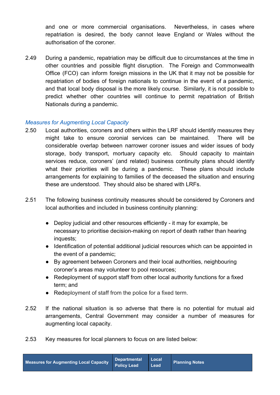and one or more commercial organisations. Nevertheless, in cases where repatriation is desired, the body cannot leave England or Wales without the authorisation of the coroner.

2.49 During a pandemic, repatriation may be difficult due to circumstances at the time in other countries and possible flight disruption. The Foreign and Commonwealth Office (FCO) can inform foreign missions in the UK that it may not be possible for repatriation of bodies of foreign nationals to continue in the event of a pandemic, and that local body disposal is the more likely course. Similarly, it is not possible to predict whether other countries will continue to permit repatriation of British Nationals during a pandemic.

#### <span id="page-17-0"></span>*Measures for Augmenting Local Capacity*

- 2.50 Local authorities, coroners and others within the LRF should identify measures they might take to ensure coronial services can be maintained. There will be considerable overlap between narrower coroner issues and wider issues of body storage, body transport, mortuary capacity etc. Should capacity to maintain services reduce, coroners' (and related) business continuity plans should identify what their priorities will be during a pandemic. These plans should include arrangements for explaining to families of the deceased the situation and ensuring these are understood. They should also be shared with LRFs.
- 2.51 The following business continuity measures should be considered by Coroners and local authorities and included in business continuity planning:
	- Deploy judicial and other resources efficiently it may for example, be necessary to prioritise decision-making on report of death rather than hearing inquests;
	- Identification of potential additional judicial resources which can be appointed in the event of a pandemic;
	- By agreement between Coroners and their local authorities, neighbouring coroner's areas may volunteer to pool resources;
	- Redeployment of support staff from other local authority functions for a fixed term; and
	- Redeployment of staff from the police for a fixed term.
- 2.52 If the national situation is so adverse that there is no potential for mutual aid arrangements, Central Government may consider a number of measures for augmenting local capacity.
- 2.53 Key measures for local planners to focus on are listed below: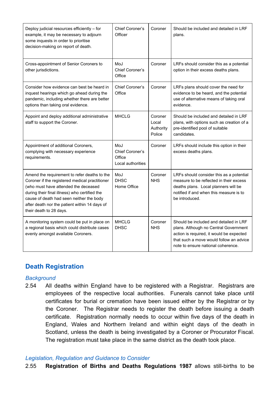| Deploy judicial resources efficiently - for<br>example, it may be necessary to adjourn<br>some inquests in order to prioritise<br>decision-making on report of death.                                                                                                                                           | Chief Coroner's<br>Officer                            | Coroner                                 | Should be included and detailed in LRF<br>plans.                                                                                                                                                             |
|-----------------------------------------------------------------------------------------------------------------------------------------------------------------------------------------------------------------------------------------------------------------------------------------------------------------|-------------------------------------------------------|-----------------------------------------|--------------------------------------------------------------------------------------------------------------------------------------------------------------------------------------------------------------|
| Cross-appointment of Senior Coroners to<br>other jurisdictions.                                                                                                                                                                                                                                                 | MoJ<br>Chief Coroner's<br>Office                      | Coroner                                 | LRFs should consider this as a potential<br>option in their excess deaths plans.                                                                                                                             |
| Consider how evidence can best be heard in<br>inquest hearings which go ahead during the<br>pandemic, including whether there are better<br>options than taking oral evidence.                                                                                                                                  | Chief Coroner's<br>Office                             | Coroner                                 | LRFs plans should cover the need for<br>evidence to be heard, and the potential<br>use of alternative means of taking oral<br>evidence.                                                                      |
| Appoint and deploy additional administrative<br>staff to support the Coroner.                                                                                                                                                                                                                                   | <b>MHCLG</b>                                          | Coroner<br>Local<br>Authority<br>Police | Should be included and detailed in LRF<br>plans, with options such as creation of a<br>pre-identified pool of suitable<br>candidates.                                                                        |
| Appointment of additional Coroners,<br>complying with necessary experience<br>requirements.                                                                                                                                                                                                                     | MoJ<br>Chief Coroner's<br>Office<br>Local authorities | Coroner                                 | LRFs should include this option in their<br>excess deaths plans.                                                                                                                                             |
| Amend the requirement to refer deaths to the<br>Coroner if the registered medical practitioner<br>(who must have attended the deceased<br>during their final illness) who certified the<br>cause of death had seen neither the body<br>after death nor the patient within 14 days of<br>their death to 28 days. | MoJ<br><b>DHSC</b><br>Home Office                     | Coroner<br><b>NHS</b>                   | LRFs should consider this as a potential<br>measure to be reflected in their excess<br>deaths plans. Local planners will be<br>notified if and when this measure is to<br>be introduced.                     |
| A monitoring system could be put in place on<br>a regional basis which could distribute cases<br>evenly amongst available Coroners.                                                                                                                                                                             | <b>MHCLG</b><br><b>DHSC</b>                           | Coroner<br><b>NHS</b>                   | Should be included and detailed in LRF<br>plans. Although no Central Government<br>action is required, it would be expected<br>that such a move would follow an advice<br>note to ensure national coherence. |

# <span id="page-18-0"></span>**Death Registration**

## <span id="page-18-1"></span>*Background*

2.54 All deaths within England have to be registered with a Registrar. Registrars are employees of the respective local authorities. Funerals cannot take place until certificates for burial or cremation have been issued either by the Registrar or by the Coroner. The Registrar needs to register the death before issuing a death certificate. Registration normally needs to occur within five days of the death in England, Wales and Northern Ireland and within eight days of the death in Scotland, unless the death is being investigated by a Coroner or Procurator Fiscal. The registration must take place in the same district as the death took place.

## <span id="page-18-2"></span>*Legislation, Regulation and Guidance to Consider*

2.55 **Registration of Births and Deaths Regulations 1987** allows still-births to be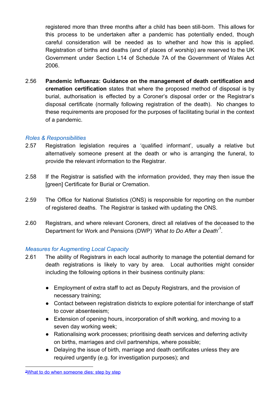registered more than three months after a child has been still-born. This allows for this process to be undertaken after a pandemic has potentially ended, though careful consideration will be needed as to whether and how this is applied. Registration of births and deaths (and of places of worship) are reserved to the UK Government under Section L14 of Schedule 7A of the Government of Wales Act 2006.

2.56 **Pandemic Influenza: Guidance on the management of death certification and cremation certification** states that where the proposed method of disposal is by burial, authorisation is effected by a Coroner's disposal order or the Registrar's disposal certificate (normally following registration of the death). No changes to these requirements are proposed for the purposes of facilitating burial in the context of a pandemic.

## <span id="page-19-0"></span>*Roles & Responsibilities*

- 2.57 Registration legislation requires a 'qualified informant', usually a relative but alternatively someone present at the death or who is arranging the funeral, to provide the relevant information to the Registrar.
- 2.58 If the Registrar is satisfied with the information provided, they may then issue the [green] Certificate for Burial or Cremation.
- 2.59 The Office for National Statistics (ONS) is responsible for reporting on the number of registered deaths. The Registrar is tasked with updating the ONS.
- 2.60 Registrars, and where relevant Coroners, direct all relatives of the deceased to the Department for Work and Pensions (DWP) '*What to Do After a Death*'<sup>3</sup>.

## <span id="page-19-1"></span>*Measures for Augmenting Local Capacity*

- 2.61 The ability of Registrars in each local authority to manage the potential demand for death registrations is likely to vary by area. Local authorities might consider including the following options in their business continuity plans:
	- Employment of extra staff to act as Deputy Registrars, and the provision of necessary training;
	- Contact between registration districts to explore potential for interchange of staff to cover absenteeism;
	- Extension of opening hours, incorporation of shift working, and moving to a seven day working week;
	- Rationalising work processes; prioritising death services and deferring activity on births, marriages and civil partnerships, where possible;
	- Delaying the issue of birth, marriage and death certificates unless they are required urgently (e.g. for investigation purposes); and

<sup>&</sup>lt;sup>3</sup>What to do when [someone](https://www.gov.uk/after-a-death) dies: step by step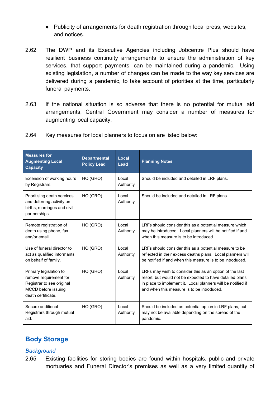- Publicity of arrangements for death registration through local press, websites, and notices.
- 2.62 The DWP and its Executive Agencies including Jobcentre Plus should have resilient business continuity arrangements to ensure the administration of key services, that support payments, can be maintained during a pandemic. Using existing legislation, a number of changes can be made to the way key services are delivered during a pandemic, to take account of priorities at the time, particularly funeral payments.
- 2.63 If the national situation is so adverse that there is no potential for mutual aid arrangements, Central Government may consider a number of measures for augmenting local capacity.

| 2.64 |  |  | Key measures for local planners to focus on are listed below: |
|------|--|--|---------------------------------------------------------------|
|      |  |  |                                                               |

| <b>Measures for</b><br><b>Augmenting Local</b><br><b>Capacity</b>                                                          | <b>Departmental</b><br><b>Policy Lead</b> | Local<br>Lead      | <b>Planning Notes</b>                                                                                                                                                                                                             |
|----------------------------------------------------------------------------------------------------------------------------|-------------------------------------------|--------------------|-----------------------------------------------------------------------------------------------------------------------------------------------------------------------------------------------------------------------------------|
| Extension of working hours<br>by Registrars.                                                                               | HO (GRO)                                  | Local<br>Authority | Should be included and detailed in LRF plans.                                                                                                                                                                                     |
| Prioritising death services<br>and deferring activity on<br>births, marriages and civil<br>partnerships.                   | HO (GRO)                                  | Local<br>Authority | Should be included and detailed in LRF plans.                                                                                                                                                                                     |
| Remote registration of<br>death using phone, fax<br>and/or email.                                                          | HO (GRO)                                  | Local<br>Authority | LRFs should consider this as a potential measure which<br>may be introduced. Local planners will be notified if and<br>when this measure is to be introduced.                                                                     |
| Use of funeral director to<br>act as qualified informants<br>on behalf of family.                                          | HO (GRO)                                  | Local<br>Authority | LRFs should consider this as a potential measure to be<br>reflected in their excess deaths plans. Local planners will<br>be notified if and when this measure is to be introduced.                                                |
| Primary legislation to<br>remove requirement for<br>Registrar to see original<br>MCCD before issuing<br>death certificate. | HO (GRO)                                  | Local<br>Authority | LRFs may wish to consider this as an option of the last<br>resort, but would not be expected to have detailed plans<br>in place to implement it. Local planners will be notified if<br>and when this measure is to be introduced. |
| Secure additional<br>Registrars through mutual<br>aid.                                                                     | HO (GRO)                                  | Local<br>Authority | Should be included as potential option in LRF plans, but<br>may not be available depending on the spread of the<br>pandemic.                                                                                                      |

# <span id="page-20-0"></span>**Body Storage**

## <span id="page-20-1"></span>*Background*

2.65 Existing facilities for storing bodies are found within hospitals, public and private mortuaries and Funeral Director's premises as well as a very limited quantity of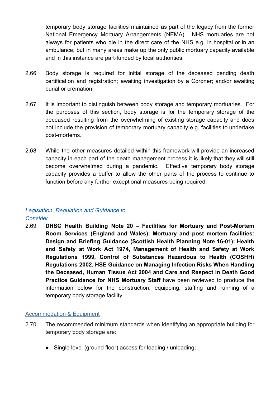temporary body storage facilities maintained as part of the legacy from the former National Emergency Mortuary Arrangements (NEMA). NHS mortuaries are not always for patients who die in the direct care of the NHS e.g. in hospital or in an ambulance, but in many areas make up the only public mortuary capacity available and in this instance are part-funded by local authorities.

- 2.66 Body storage is required for initial storage of the deceased pending death certification and registration; awaiting investigation by a Coroner; and/or awaiting burial or cremation.
- 2.67 It is important to distinguish between body storage and temporary mortuaries. For the purposes of this section, body storage is for the temporary storage of the deceased resulting from the overwhelming of existing storage capacity and does not include the provision of temporary mortuary capacity e.g. facilities to undertake post-mortems.
- 2.68 While the other measures detailed within this framework will provide an increased capacity in each part of the death management process it is likely that they will still become overwhelmed during a pandemic. Effective temporary body storage capacity provides a buffer to allow the other parts of the process to continue to function before any further exceptional measures being required.

#### <span id="page-21-0"></span>*Legislation, Regulation and Guidance to Consider*

2.69 **DHSC Health Building Note 20 – Facilities for Mortuary and Post-Mortem Room Services (England and Wales); Mortuary and post mortem facilities: Design and Briefing Guidance (Scottish Health Planning Note 16-01); Health and Safety at Work Act 1974, Management of Health and Safety at Work Regulations 1999, Control of Substances Hazardous to Health (COSHH) Regulations 2002, HSE Guidance on Managing Infection Risks When Handling the Deceased, Human Tissue Act 2004 and Care and Respect in Death Good Practice Guidance for NHS Mortuary Staff** have been reviewed to produce the information below for the construction, equipping, staffing and running of a temporary body storage facility.

#### <span id="page-21-1"></span>Accommodation & Equipment

- 2.70 The recommended minimum standards when identifying an appropriate building for temporary body storage are:
	- Single level (ground floor) access for loading / unloading;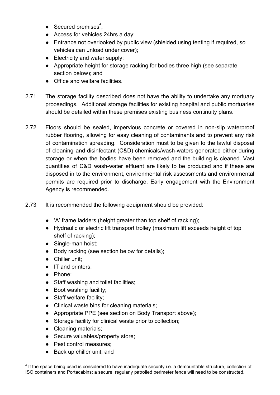- $\bullet$  Secured premises<sup>4</sup>;
- Access for vehicles 24hrs a day;
- Entrance not overlooked by public view (shielded using tenting if required, so vehicles can unload under cover);
- Electricity and water supply;
- Appropriate height for storage racking for bodies three high (see separate section below); and
- Office and welfare facilities.
- 2.71 The storage facility described does not have the ability to undertake any mortuary proceedings. Additional storage facilities for existing hospital and public mortuaries should be detailed within these premises existing business continuity plans.
- 2.72 Floors should be sealed, impervious concrete or covered in non-slip waterproof rubber flooring, allowing for easy cleaning of contaminants and to prevent any risk of contamination spreading. Consideration must to be given to the lawful disposal of cleaning and disinfectant (C&D) chemicals/wash-waters generated either during storage or when the bodies have been removed and the building is cleaned. Vast quantities of C&D wash-water effluent are likely to be produced and if these are disposed in to the environment, environmental risk assessments and environmental permits are required prior to discharge. Early engagement with the Environment Agency is recommended.
- 2.73 It is recommended the following equipment should be provided:
	- 'A' frame ladders (height greater than top shelf of racking);
	- Hydraulic or electric lift transport trolley (maximum lift exceeds height of top shelf of racking);
	- Single-man hoist;
	- Body racking (see section below for details);
	- Chiller unit;
	- IT and printers;
	- Phone:
	- Staff washing and toilet facilities;
	- Boot washing facility;
	- Staff welfare facility;
	- Clinical waste bins for cleaning materials;
	- Appropriate PPE (see section on Body Transport above);
	- Storage facility for clinical waste prior to collection;
	- Cleaning materials;
	- Secure valuables/property store;
	- Pest control measures;
	- Back up chiller unit; and

<sup>4</sup> If the space being used is considered to have inadequate security i.e. a demountable structure, collection of ISO containers and Portacabins; a secure, regularly patrolled perimeter fence will need to be constructed.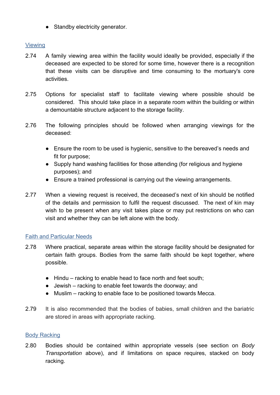• Standby electricity generator.

## <span id="page-23-0"></span>Viewing

- 2.74 A family viewing area within the facility would ideally be provided, especially if the deceased are expected to be stored for some time, however there is a recognition that these visits can be disruptive and time consuming to the mortuary's core activities.
- 2.75 Options for specialist staff to facilitate viewing where possible should be considered. This should take place in a separate room within the building or within a demountable structure adjacent to the storage facility.
- 2.76 The following principles should be followed when arranging viewings for the deceased:
	- Ensure the room to be used is hygienic, sensitive to the bereaved's needs and fit for purpose;
	- Supply hand washing facilities for those attending (for religious and hygiene purposes); and
	- Ensure a trained professional is carrying out the viewing arrangements.
- 2.77 When a viewing request is received, the deceased's next of kin should be notified of the details and permission to fulfil the request discussed. The next of kin may wish to be present when any visit takes place or may put restrictions on who can visit and whether they can be left alone with the body.

## <span id="page-23-1"></span>Faith and Particular Needs

- 2.78 Where practical, separate areas within the storage facility should be designated for certain faith groups. Bodies from the same faith should be kept together, where possible.
	- Hindu racking to enable head to face north and feet south;
	- Jewish racking to enable feet towards the doorway; and
	- Muslim racking to enable face to be positioned towards Mecca.
- 2.79 It is also recommended that the bodies of babies, small children and the bariatric are stored in areas with appropriate racking.

## <span id="page-23-2"></span>**Body Racking**

2.80 Bodies should be contained within appropriate vessels (see section on *Body Transportation* above), and if limitations on space requires, stacked on body racking.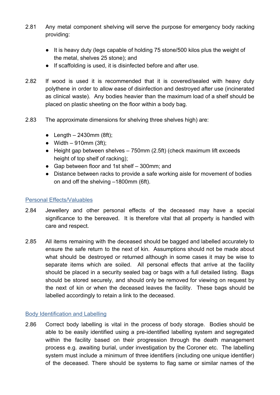- 2.81 Any metal component shelving will serve the purpose for emergency body racking providing:
	- It is heavy duty (legs capable of holding 75 stone/500 kilos plus the weight of the metal, shelves 25 stone); and
	- If scaffolding is used, it is disinfected before and after use.
- 2.82 If wood is used it is recommended that it is covered/sealed with heavy duty polythene in order to allow ease of disinfection and destroyed after use (incinerated as clinical waste). Any bodies heavier than the maximum load of a shelf should be placed on plastic sheeting on the floor within a body bag.
- 2.83 The approximate dimensions for shelving three shelves high) are:
	- $\bullet$  Length 2430mm (8ft);
	- $\bullet$  Width 910mm (3ft);
	- $\bullet$  Height gap between shelves  $-750$ mm (2.5ft) (check maximum lift exceeds height of top shelf of racking);
	- Gap between floor and 1st shelf 300mm; and
	- Distance between racks to provide a safe working aisle for movement of bodies on and off the shelving –1800mm (6ft).

### <span id="page-24-0"></span>Personal Effects/Valuables

- 2.84 Jewellery and other personal effects of the deceased may have a special significance to the bereaved. It is therefore vital that all property is handled with care and respect.
- 2.85 All items remaining with the deceased should be bagged and labelled accurately to ensure the safe return to the next of kin. Assumptions should not be made about what should be destroyed or returned although in some cases it may be wise to separate items which are soiled. All personal effects that arrive at the facility should be placed in a security sealed bag or bags with a full detailed listing. Bags should be stored securely, and should only be removed for viewing on request by the next of kin or when the deceased leaves the facility. These bags should be labelled accordingly to retain a link to the deceased.

#### <span id="page-24-1"></span>Body Identification and Labelling

2.86 Correct body labelling is vital in the process of body storage. Bodies should be able to be easily identified using a pre-identified labelling system and segregated within the facility based on their progression through the death management process e.g. awaiting burial, under investigation by the Coroner etc. The labelling system must include a minimum of three identifiers (including one unique identifier) of the deceased. There should be systems to flag same or similar names of the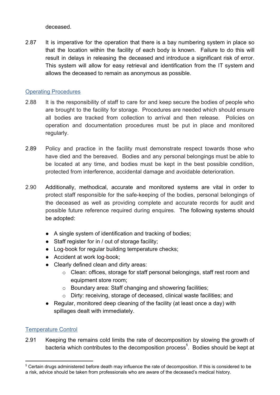deceased.

2.87 It is imperative for the operation that there is a bay numbering system in place so that the location within the facility of each body is known. Failure to do this will result in delays in releasing the deceased and introduce a significant risk of error. This system will allow for easy retrieval and identification from the IT system and allows the deceased to remain as anonymous as possible.

#### <span id="page-25-0"></span>Operating Procedures

- 2.88 It is the responsibility of staff to care for and keep secure the bodies of people who are brought to the facility for storage. Procedures are needed which should ensure all bodies are tracked from collection to arrival and then release. Policies on operation and documentation procedures must be put in place and monitored regularly.
- 2.89 Policy and practice in the facility must demonstrate respect towards those who have died and the bereaved. Bodies and any personal belongings must be able to be located at any time, and bodies must be kept in the best possible condition, protected from interference, accidental damage and avoidable deterioration.
- 2.90 Additionally, methodical, accurate and monitored systems are vital in order to protect staff responsible for the safe-keeping of the bodies, personal belongings of the deceased as well as providing complete and accurate records for audit and possible future reference required during enquires. The following systems should be adopted:
	- A single system of identification and tracking of bodies;
	- Staff register for in / out of storage facility;
	- Log-book for regular building temperature checks;
	- Accident at work log-book;
	- Clearly defined clean and dirty areas:
		- o Clean: offices, storage for staff personal belongings, staff rest room and equipment store room;
		- o Boundary area: Staff changing and showering facilities;
		- o Dirty: receiving, storage of deceased, clinical waste facilities; and
	- Regular, monitored deep cleaning of the facility (at least once a day) with spillages dealt with immediately.

## <span id="page-25-1"></span>Temperature Control

2.91 Keeping the remains cold limits the rate of decomposition by slowing the growth of bacteria which contributes to the decomposition process<sup>5</sup>. Bodies should be kept at

<sup>&</sup>lt;sup>5</sup> Certain drugs administered before death may influence the rate of decomposition. If this is considered to be a risk, advice should be taken from professionals who are aware of the deceased's medical history.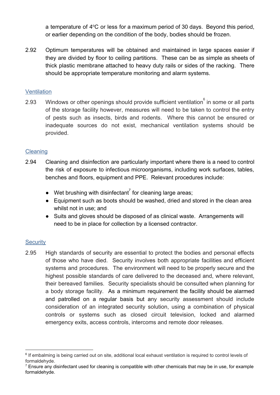a temperature of 4°C or less for a maximum period of 30 days. Beyond this period, or earlier depending on the condition of the body, bodies should be frozen.

2.92 Optimum temperatures will be obtained and maintained in large spaces easier if they are divided by floor to ceiling partitions. These can be as simple as sheets of thick plastic membrane attached to heavy duty rails or sides of the racking. There should be appropriate temperature monitoring and alarm systems.

#### <span id="page-26-0"></span>**Ventilation**

2.93 Windows or other openings should provide sufficient ventilation in some or all parts of the storage facility however, measures will need to be taken to control the entry of pests such as insects, birds and rodents. Where this cannot be ensured or inadequate sources do not exist, mechanical ventilation systems should be provided.

## <span id="page-26-1"></span>**Cleaning**

- 2.94 Cleaning and disinfection are particularly important where there is a need to control the risk of exposure to infectious microorganisms, including work surfaces, tables, benches and floors, equipment and PPE. Relevant procedures include:
	- $\bullet$  Wet brushing with disinfectant<sup>7</sup> for cleaning large areas;
	- Equipment such as boots should be washed, dried and stored in the clean area whilst not in use; and
	- Suits and gloves should be disposed of as clinical waste. Arrangements will need to be in place for collection by a licensed contractor.

## <span id="page-26-2"></span>**Security**

2.95 High standards of security are essential to protect the bodies and personal effects of those who have died. Security involves both appropriate facilities and efficient systems and procedures. The environment will need to be properly secure and the highest possible standards of care delivered to the deceased and, where relevant, their bereaved families. Security specialists should be consulted when planning for a body storage facility. As a minimum requirement the facility should be alarmed and patrolled on a regular basis but any security assessment should include consideration of an integrated security solution, using a combination of physical controls or systems such as closed circuit television, locked and alarmed emergency exits, access controls, intercoms and remote door releases.

<sup>&</sup>lt;sup>6</sup> If embalming is being carried out on site, additional local exhaust ventilation is required to control levels of formaldehyde.

 $7$  Ensure any disinfectant used for cleaning is compatible with other chemicals that may be in use, for example formaldehyde.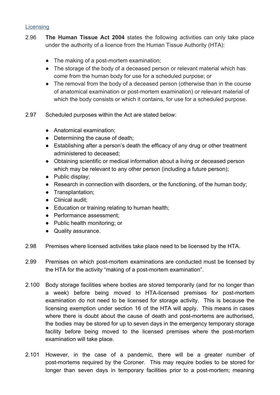#### <span id="page-27-0"></span>**Licensing**

- 2.96 **The Human Tissue Act 2004** states the following activities can only take place under the authority of a licence from the Human Tissue Authority (HTA):
	- The making of a post-mortem examination;
	- The storage of the body of a deceased person or relevant material which has come from the human body for use for a scheduled purpose; or
	- The removal from the body of a deceased person (otherwise than in the course of anatomical examination or post-mortem examination) or relevant material of which the body consists or which it contains, for use for a scheduled purpose.
- 2.97 Scheduled purposes within the Act are stated below:
	- Anatomical examination;
	- Determining the cause of death;
	- Establishing after a person's death the efficacy of any drug or other treatment administered to deceased;
	- Obtaining scientific or medical information about a living or deceased person which may be relevant to any other person (including a future person);
	- Public display:
	- Research in connection with disorders, or the functioning, of the human body;
	- Transplantation;
	- Clinical audit;
	- Education or training relating to human health;
	- Performance assessment;
	- Public health monitoring; or
	- Quality assurance.
- 2.98 Premises where licensed activities take place need to be licensed by the HTA.
- 2.99 Premises on which post-mortem examinations are conducted must be licensed by the HTA for the activity "making of a post-mortem examination".
- 2.100 Body storage facilities where bodies are stored temporarily (and for no longer than a week) before being moved to HTA-licensed premises for post-mortem examination do not need to be licensed for storage activity. This is because the licensing exemption under section 16 of the HTA will apply. This means in cases where there is doubt about the cause of death and post-mortems are authorised, the bodies may be stored for up to seven days in the emergency temporary storage facility before being moved to the licensed premises where the post-mortem examination will take place.
- 2.101 However, in the case of a pandemic, there will be a greater number of post-mortems required by the Coroner. This may require bodies to be stored for longer than seven days in temporary facilities prior to a post-mortem; meaning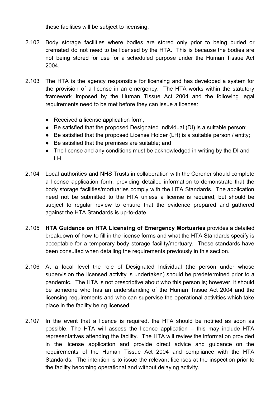these facilities will be subject to licensing.

- 2.102 Body storage facilities where bodies are stored only prior to being buried or cremated do not need to be licensed by the HTA. This is because the bodies are not being stored for use for a scheduled purpose under the Human Tissue Act 2004.
- 2.103 The HTA is the agency responsible for licensing and has developed a system for the provision of a license in an emergency. The HTA works within the statutory framework imposed by the Human Tissue Act 2004 and the following legal requirements need to be met before they can issue a license:
	- Received a license application form;
	- Be satisfied that the proposed Designated Individual (DI) is a suitable person;
	- Be satisfied that the proposed License Holder (LH) is a suitable person / entity;
	- Be satisfied that the premises are suitable; and
	- The license and any conditions must be acknowledged in writing by the DI and LH.
- 2.104 Local authorities and NHS Trusts in collaboration with the Coroner should complete a license application form, providing detailed information to demonstrate that the body storage facilities/mortuaries comply with the HTA Standards. The application need not be submitted to the HTA unless a license is required, but should be subject to regular review to ensure that the evidence prepared and gathered against the HTA Standards is up-to-date.
- 2.105 **HTA Guidance on HTA Licensing of Emergency Mortuaries** provides a detailed breakdown of how to fill in the license forms and what the HTA Standards specify is acceptable for a temporary body storage facility/mortuary. These standards have been consulted when detailing the requirements previously in this section.
- 2.106 At a local level the role of Designated Individual (the person under whose supervision the licensed activity is undertaken) should be predetermined prior to a pandemic. The HTA is not prescriptive about who this person is; however, it should be someone who has an understanding of the Human Tissue Act 2004 and the licensing requirements and who can supervise the operational activities which take place in the facility being licensed.
- 2.107 In the event that a licence is required, the HTA should be notified as soon as possible. The HTA will assess the licence application – this may include HTA representatives attending the facility. The HTA will review the information provided in the license application and provide direct advice and guidance on the requirements of the Human Tissue Act 2004 and compliance with the HTA Standards. The intention is to issue the relevant licenses at the inspection prior to the facility becoming operational and without delaying activity.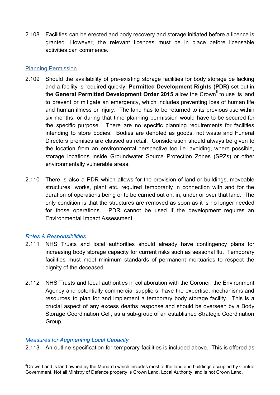2.108 Facilities can be erected and body recovery and storage initiated before a licence is granted. However, the relevant licences must be in place before licensable activities can commence.

### <span id="page-29-0"></span>Planning Permission

- 2.109 Should the availability of pre-existing storage facilities for body storage be lacking and a facility is required quickly, **Permitted Development Rights (PDR)** set out in the General Permitted Development Order 2015 allow the Crown<sup>®</sup> to use its land to prevent or mitigate an emergency, which includes preventing loss of human life and human illness or injury. The land has to be returned to its previous use within six months, or during that time planning permission would have to be secured for the specific purpose. There are no specific planning requirements for facilities intending to store bodies. Bodies are denoted as goods, not waste and Funeral Directors premises are classed as retail. Consideration should always be given to the location from an environmental perspective too i.e. avoiding, where possible, storage locations inside Groundwater Source Protection Zones (SPZs) or other environmentally vulnerable areas.
- 2.110 There is also a PDR which allows for the provision of land or buildings, moveable structures, works, plant etc. required temporarily in connection with and for the duration of operations being or to be carried out on, in, under or over that land. The only condition is that the structures are removed as soon as it is no longer needed for those operations. PDR cannot be used if the development requires an Environmental Impact Assessment.

## <span id="page-29-1"></span>*Roles & Responsibilities*

- 2.111 NHS Trusts and local authorities should already have contingency plans for increasing body storage capacity for current risks such as seasonal flu. Temporary facilities must meet minimum standards of permanent mortuaries to respect the dignity of the deceased.
- 2.112 NHS Trusts and local authorities in collaboration with the Coroner, the Environment Agency and potentially commercial suppliers, have the expertise, mechanisms and resources to plan for and implement a temporary body storage facility. This is a crucial aspect of any excess deaths response and should be overseen by a Body Storage Coordination Cell, as a sub-group of an established Strategic Coordination Group.

## <span id="page-29-2"></span>*Measures for Augmenting Local Capacity*

2.113 An outline specification for temporary facilities is included above. This is offered as

<sup>&</sup>lt;sup>8</sup>Crown Land is land owned by the Monarch which includes most of the land and buildings occupied by Central Government. Not all Ministry of Defence property is Crown Land. Local Authority land is not Crown Land.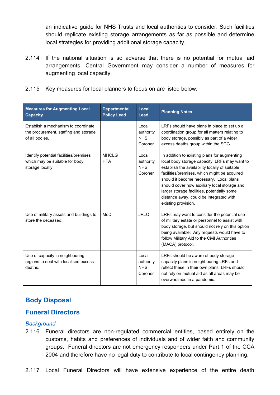an indicative guide for NHS Trusts and local authorities to consider. Such facilities should replicate existing storage arrangements as far as possible and determine local strategies for providing additional storage capacity.

- 2.114 If the national situation is so adverse that there is no potential for mutual aid arrangements, Central Government may consider a number of measures for augmenting local capacity.
- 2.115 Key measures for local planners to focus on are listed below:

| <b>Measures for Augmenting Local</b><br><b>Capacity</b>                                        | <b>Departmental</b><br><b>Policy Lead</b> | Local<br>Lead                               | <b>Planning Notes</b>                                                                                                                                                                                                                                                                                                                                                                                       |
|------------------------------------------------------------------------------------------------|-------------------------------------------|---------------------------------------------|-------------------------------------------------------------------------------------------------------------------------------------------------------------------------------------------------------------------------------------------------------------------------------------------------------------------------------------------------------------------------------------------------------------|
| Establish a mechanism to coordinate<br>the procurement, staffing and storage<br>of all bodies. |                                           | Local<br>authority<br><b>NHS</b><br>Coroner | LRFs should have plans in place to set up a<br>coordination group for all matters relating to<br>body storage, possibly as part of a wider<br>excess deaths group within the SCG.                                                                                                                                                                                                                           |
| Identify potential facilities/premises<br>which may be suitable for body<br>storage locally.   | <b>MHCLG</b><br><b>HTA</b>                | Local<br>authority<br><b>NHS</b><br>Coroner | In addition to existing plans for augmenting<br>local body storage capacity, LRFs may want to<br>establish the availability locally of suitable<br>facilities/premises, which might be acquired<br>should it become necessary. Local plans<br>should cover how auxiliary local storage and<br>larger storage facilities, potentially some<br>distance away, could be integrated with<br>existing provision. |
| Use of military assets and buildings to<br>store the deceased.                                 | MoD                                       | <b>JRLO</b>                                 | LRFs may want to consider the potential use<br>of military estate or personnel to assist with<br>body storage, but should not rely on this option<br>being available. Any requests would have to<br>follow Military Aid to the Civil Authorities<br>(MACA) protocol.                                                                                                                                        |
| Use of capacity in neighbouring<br>regions to deal with localised excess<br>deaths.            |                                           | Local<br>authority<br><b>NHS</b><br>Coroner | LRFs should be aware of body storage<br>capacity plans in neighbouring LRFs and<br>reflect these in their own plans. LRFs should<br>not rely on mutual aid as all areas may be<br>overwhelmed in a pandemic.                                                                                                                                                                                                |

# <span id="page-30-0"></span>**Body Disposal**

# <span id="page-30-1"></span>**Funeral Directors**

## <span id="page-30-2"></span>*Background*

- 2.116 Funeral directors are non-regulated commercial entities, based entirely on the customs, habits and preferences of individuals and of wider faith and community groups. Funeral directors are not emergency responders under Part 1 of the CCA 2004 and therefore have no legal duty to contribute to local contingency planning.
- 2.117 Local Funeral Directors will have extensive experience of the entire death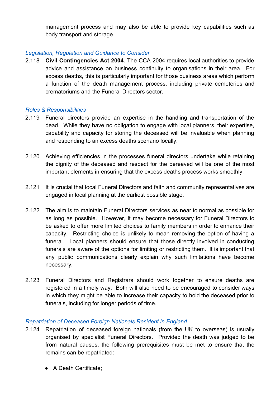management process and may also be able to provide key capabilities such as body transport and storage.

### <span id="page-31-0"></span>*Legislation, Regulation and Guidance to Consider*

2.118 **Civil Contingencies Act 2004.** The CCA 2004 requires local authorities to provide advice and assistance on business continuity to organisations in their area. For excess deaths, this is particularly important for those business areas which perform a function of the death management process, including private cemeteries and crematoriums and the Funeral Directors sector.

#### <span id="page-31-1"></span>*Roles & Responsibilities*

- 2.119 Funeral directors provide an expertise in the handling and transportation of the dead. While they have no obligation to engage with local planners, their expertise, capability and capacity for storing the deceased will be invaluable when planning and responding to an excess deaths scenario locally.
- 2.120 Achieving efficiencies in the processes funeral directors undertake while retaining the dignity of the deceased and respect for the bereaved will be one of the most important elements in ensuring that the excess deaths process works smoothly.
- 2.121 It is crucial that local Funeral Directors and faith and community representatives are engaged in local planning at the earliest possible stage.
- 2.122 The aim is to maintain Funeral Directors services as near to normal as possible for as long as possible. However, it may become necessary for Funeral Directors to be asked to offer more limited choices to family members in order to enhance their capacity. Restricting choice is unlikely to mean removing the option of having a funeral. Local planners should ensure that those directly involved in conducting funerals are aware of the options for limiting or restricting them. It is important that any public communications clearly explain why such limitations have become necessary.
- 2.123 Funeral Directors and Registrars should work together to ensure deaths are registered in a timely way. Both will also need to be encouraged to consider ways in which they might be able to increase their capacity to hold the deceased prior to funerals, including for longer periods of time.

#### <span id="page-31-2"></span>*Repatriation of Deceased Foreign Nationals Resident in England*

- 2.124 Repatriation of deceased foreign nationals (from the UK to overseas) is usually organised by specialist Funeral Directors. Provided the death was judged to be from natural causes, the following prerequisites must be met to ensure that the remains can be repatriated:
	- A Death Certificate;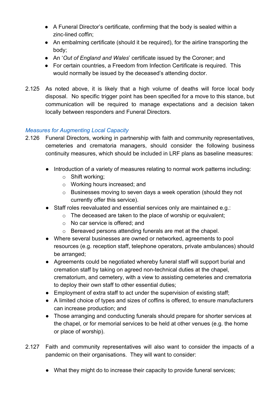- A Funeral Director's certificate, confirming that the body is sealed within a zinc-lined coffin;
- An embalming certificate (should it be required), for the airline transporting the body;
- An '*Out of England and Wales*' certificate issued by the Coroner; and
- For certain countries, a Freedom from Infection Certificate is required. This would normally be issued by the deceased's attending doctor.
- 2.125 As noted above, it is likely that a high volume of deaths will force local body disposal. No specific trigger point has been specified for a move to this stance, but communication will be required to manage expectations and a decision taken locally between responders and Funeral Directors.

# <span id="page-32-0"></span>*Measures for Augmenting Local Capacity*

- 2.126 Funeral Directors, working in partnership with faith and community representatives, cemeteries and crematoria managers, should consider the following business continuity measures, which should be included in LRF plans as baseline measures:
	- Introduction of a variety of measures relating to normal work patterns including:
		- o Shift working;
		- o Working hours increased; and
		- o Businesses moving to seven days a week operation (should they not currently offer this service).
	- Staff roles reevaluated and essential services only are maintained e.g.:
		- o The deceased are taken to the place of worship or equivalent;
		- o No car service is offered; and
		- o Bereaved persons attending funerals are met at the chapel.
	- Where several businesses are owned or networked, agreements to pool resources (e.g. reception staff, telephone operators, private ambulances) should be arranged;
	- Agreements could be negotiated whereby funeral staff will support burial and cremation staff by taking on agreed non-technical duties at the chapel, crematorium, and cemetery, with a view to assisting cemeteries and crematoria to deploy their own staff to other essential duties;
	- Employment of extra staff to act under the supervision of existing staff;
	- A limited choice of types and sizes of coffins is offered, to ensure manufacturers can increase production; and
	- Those arranging and conducting funerals should prepare for shorter services at the chapel, or for memorial services to be held at other venues (e.g. the home or place of worship).
- 2.127 Faith and community representatives will also want to consider the impacts of a pandemic on their organisations. They will want to consider:
	- What they might do to increase their capacity to provide funeral services;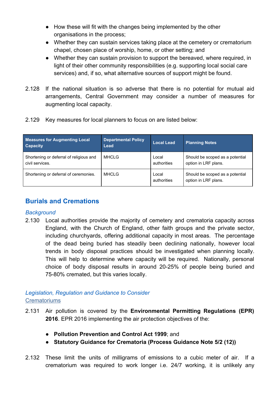- How these will fit with the changes being implemented by the other organisations in the process;
- Whether they can sustain services taking place at the cemetery or crematorium chapel, chosen place of worship, home, or other setting; and
- Whether they can sustain provision to support the bereaved, where required, in light of their other community responsibilities (e.g. supporting local social care services) and, if so, what alternative sources of support might be found.
- 2.128 If the national situation is so adverse that there is no potential for mutual aid arrangements, Central Government may consider a number of measures for augmenting local capacity.
- 2.129 Key measures for local planners to focus on are listed below:

| <b>Measures for Augmenting Local</b><br><b>Capacity</b>    | <b>Departmental Policy</b><br>Lead | <b>Local Lead</b>    | <b>Planning Notes</b>                                   |
|------------------------------------------------------------|------------------------------------|----------------------|---------------------------------------------------------|
| Shortening or deferral of religious and<br>civil services. | <b>MHCLG</b>                       | Local<br>authorities | Should be scoped as a potential<br>option in LRF plans. |
| Shortening or deferral of ceremonies.                      | <b>MHCLG</b>                       | Local<br>authorities | Should be scoped as a potential<br>option in LRF plans. |

# <span id="page-33-0"></span>**Burials and Cremations**

# <span id="page-33-1"></span>*Background*

2.130 Local authorities provide the majority of cemetery and crematoria capacity across England, with the Church of England, other faith groups and the private sector, including churchyards, offering additional capacity in most areas. The percentage of the dead being buried has steadily been declining nationally, however local trends in body disposal practices should be investigated when planning locally. This will help to determine where capacity will be required. Nationally, personal choice of body disposal results in around 20-25% of people being buried and 75-80% cremated, but this varies locally.

## <span id="page-33-3"></span><span id="page-33-2"></span>*Legislation, Regulation and Guidance to Consider* **Crematoriums**

- 2.131 Air pollution is covered by the **Environmental Permitting Regulations (EPR) 2016**. EPR 2016 implementing the air protection objectives of the:
	- **● Pollution Prevention and Control Act 1999**; and
	- **● Statutory Guidance for Crematoria (Process Guidance Note 5/2 (12))**
- 2.132 These limit the units of milligrams of emissions to a cubic meter of air. If a crematorium was required to work longer i.e. 24/7 working, it is unlikely any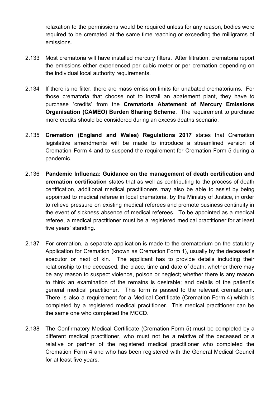relaxation to the permissions would be required unless for any reason, bodies were required to be cremated at the same time reaching or exceeding the milligrams of emissions.

- 2.133 Most crematoria will have installed mercury filters. After filtration, crematoria report the emissions either experienced per cubic meter or per cremation depending on the individual local authority requirements.
- 2.134 If there is no filter, there are mass emission limits for unabated crematoriums. For those crematoria that choose not to install an abatement plant, they have to purchase 'credits' from the **Crematoria Abatement of Mercury Emissions Organisation (CAMEO) Burden Sharing Scheme**. The requirement to purchase more credits should be considered during an excess deaths scenario.
- 2.135 **Cremation (England and Wales) Regulations 2017** states that Cremation legislative amendments will be made to introduce a streamlined version of Cremation Form 4 and to suspend the requirement for Cremation Form 5 during a pandemic.
- 2.136 **Pandemic Influenza: Guidance on the management of death certification and cremation certification** states that as well as contributing to the process of death certification, additional medical practitioners may also be able to assist by being appointed to medical referee in local crematoria, by the Ministry of Justice, in order to relieve pressure on existing medical referees and promote business continuity in the event of sickness absence of medical referees. To be appointed as a medical referee, a medical practitioner must be a registered medical practitioner for at least five years' standing.
- 2.137 For cremation, a separate application is made to the crematorium on the statutory Application for Cremation (known as Cremation Form 1), usually by the deceased's executor or next of kin. The applicant has to provide details including their relationship to the deceased; the place, time and date of death; whether there may be any reason to suspect violence, poison or neglect; whether there is any reason to think an examination of the remains is desirable; and details of the patient's general medical practitioner. This form is passed to the relevant crematorium. There is also a requirement for a Medical Certificate (Cremation Form 4) which is completed by a registered medical practitioner. This medical practitioner can be the same one who completed the MCCD.
- 2.138 The Confirmatory Medical Certificate (Cremation Form 5) must be completed by a different medical practitioner, who must not be a relative of the deceased or a relative or partner of the registered medical practitioner who completed the Cremation Form 4 and who has been registered with the General Medical Council for at least five years.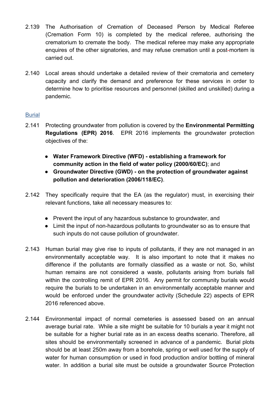- 2.139 The Authorisation of Cremation of Deceased Person by Medical Referee (Cremation Form 10) is completed by the medical referee, authorising the crematorium to cremate the body. The medical referee may make any appropriate enquires of the other signatories, and may refuse cremation until a post-mortem is carried out.
- 2.140 Local areas should undertake a detailed review of their crematoria and cemetery capacity and clarify the demand and preference for these services in order to determine how to prioritise resources and personnel (skilled and unskilled) during a pandemic.

# <span id="page-35-0"></span>**Burial**

- 2.141 Protecting groundwater from pollution is covered by the **Environmental Permitting Regulations (EPR) 2016**. EPR 2016 implements the groundwater protection objectives of the:
	- **Water Framework Directive (WFD) establishing a framework for community action in the field of water policy (2000/60/EC)**; and
	- **Groundwater Directive (GWD) on the protection of groundwater against pollution and deterioration (2006/118/EC)**.
- 2.142 They specifically require that the EA (as the regulator) must, in exercising their relevant functions, take all necessary measures to:
	- Prevent the input of any hazardous substance to groundwater, and
	- Limit the input of non-hazardous pollutants to groundwater so as to ensure that such inputs do not cause pollution of groundwater.
- 2.143 Human burial may give rise to inputs of pollutants, if they are not managed in an environmentally acceptable way. It is also important to note that it makes no difference if the pollutants are formally classified as a waste or not. So, whilst human remains are not considered a waste, pollutants arising from burials fall within the controlling remit of EPR 2016. Any permit for community burials would require the burials to be undertaken in an environmentally acceptable manner and would be enforced under the groundwater activity (Schedule 22) aspects of EPR 2016 referenced above.
- 2.144 Environmental impact of normal cemeteries is assessed based on an annual average burial rate. While a site might be suitable for 10 burials a year it might not be suitable for a higher burial rate as in an excess deaths scenario. Therefore, all sites should be environmentally screened in advance of a pandemic. Burial plots should be at least 250m away from a borehole, spring or well used for the supply of water for human consumption or used in food production and/or bottling of mineral water. In addition a burial site must be outside a groundwater Source Protection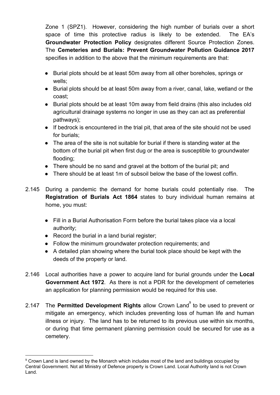Zone 1 (SPZ1). However, considering the high number of burials over a short space of time this protective radius is likely to be extended. The EA's **Groundwater Protection Policy** designates different Source Protection Zones. The **Cemeteries and Burials: Prevent Groundwater Pollution Guidance 2017** specifies in addition to the above that the minimum requirements are that:

- Burial plots should be at least 50m away from all other boreholes, springs or wells;
- Burial plots should be at least 50m away from a river, canal, lake, wetland or the coast;
- Burial plots should be at least 10m away from field drains (this also includes old agricultural drainage systems no longer in use as they can act as preferential pathways);
- If bedrock is encountered in the trial pit, that area of the site should not be used for burials;
- The area of the site is not suitable for burial if there is standing water at the bottom of the burial pit when first dug or the area is susceptible to groundwater flooding;
- There should be no sand and gravel at the bottom of the burial pit; and
- There should be at least 1m of subsoil below the base of the lowest coffin.
- 2.145 During a pandemic the demand for home burials could potentially rise. The **Registration of Burials Act 1864** states to bury individual human remains at home, you must:
	- Fill in a Burial Authorisation Form before the burial takes place via a local authority;
	- Record the burial in a land burial register;
	- Follow the minimum groundwater protection requirements; and
	- A detailed plan showing where the burial took place should be kept with the deeds of the property or land.
- 2.146 Local authorities have a power to acquire land for burial grounds under the **Local Government Act 1972**. As there is not a PDR for the development of cemeteries an application for planning permission would be required for this use.
- 2.147 The Permitted Development Rights allow Crown Land<sup>9</sup> to be used to prevent or mitigate an emergency, which includes preventing loss of human life and human illness or injury. The land has to be returned to its previous use within six months, or during that time permanent planning permission could be secured for use as a cemetery.

<sup>&</sup>lt;sup>9</sup> Crown Land is land owned by the Monarch which includes most of the land and buildings occupied by Central Government. Not all Ministry of Defence property is Crown Land. Local Authority land is not Crown Land.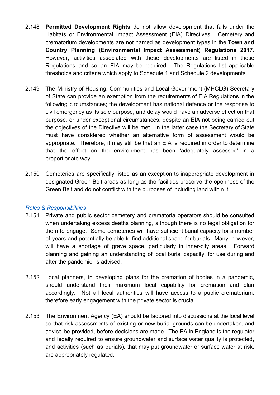- 2.148 **Permitted Development Rights** do not allow development that falls under the Habitats or Environmental Impact Assessment (EIA) Directives. Cemetery and crematorium developments are not named as development types in the **Town and Country Planning (Environmental Impact Assessment) Regulations 2017**. However, activities associated with these developments are listed in these Regulations and so an EIA may be required. The Regulations list applicable thresholds and criteria which apply to Schedule 1 and Schedule 2 developments.
- 2.149 The Ministry of Housing, Communities and Local Government (MHCLG) Secretary of State can provide an exemption from the requirements of EIA Regulations in the following circumstances; the development has national defence or the response to civil emergency as its sole purpose, and delay would have an adverse effect on that purpose, or under exceptional circumstances, despite an EIA not being carried out the objectives of the Directive will be met. In the latter case the Secretary of State must have considered whether an alternative form of assessment would be appropriate. Therefore, it may still be that an EIA is required in order to determine that the effect on the environment has been 'adequately assessed' in a proportionate way.
- 2.150 Cemeteries are specifically listed as an exception to inappropriate development in designated Green Belt areas as long as the facilities preserve the openness of the Green Belt and do not conflict with the purposes of including land within it.

#### <span id="page-37-0"></span>*Roles & Responsibilities*

- 2.151 Private and public sector cemetery and crematoria operators should be consulted when undertaking excess deaths planning, although there is no legal obligation for them to engage. Some cemeteries will have sufficient burial capacity for a number of years and potentially be able to find additional space for burials. Many, however, will have a shortage of grave space, particularly in inner-city areas. Forward planning and gaining an understanding of local burial capacity, for use during and after the pandemic, is advised.
- 2.152 Local planners, in developing plans for the cremation of bodies in a pandemic, should understand their maximum local capability for cremation and plan accordingly. Not all local authorities will have access to a public crematorium, therefore early engagement with the private sector is crucial.
- 2.153 The Environment Agency (EA) should be factored into discussions at the local level so that risk assessments of existing or new burial grounds can be undertaken, and advice be provided, before decisions are made. The EA in England is the regulator and legally required to ensure groundwater and surface water quality is protected, and activities (such as burials), that may put groundwater or surface water at risk, are appropriately regulated.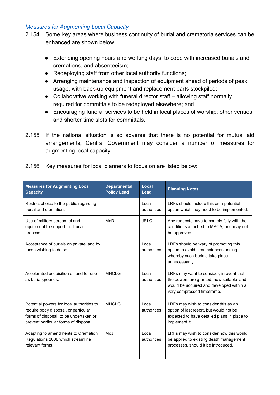#### <span id="page-38-0"></span>*Measures for Augmenting Local Capacity*

- 2.154 Some key areas where business continuity of burial and crematoria services can be enhanced are shown below:
	- Extending opening hours and working days, to cope with increased burials and cremations, and absenteeism;
	- Redeploying staff from other local authority functions;
	- Arranging maintenance and inspection of equipment ahead of periods of peak usage, with back-up equipment and replacement parts stockpiled;
	- Collaborative working with funeral director staff allowing staff normally required for committals to be redeployed elsewhere; and
	- Encouraging funeral services to be held in local places of worship; other venues and shorter time slots for committals.
- 2.155 If the national situation is so adverse that there is no potential for mutual aid arrangements, Central Government may consider a number of measures for augmenting local capacity.

| 2.156 Key measures for local planners to focus on are listed below: |  |
|---------------------------------------------------------------------|--|
|                                                                     |  |

| <b>Measures for Augmenting Local</b><br><b>Capacity</b>                                                                                                              | <b>Departmental</b><br><b>Policy Lead</b> | Local<br>Lead        | <b>Planning Notes</b>                                                                                                                                           |
|----------------------------------------------------------------------------------------------------------------------------------------------------------------------|-------------------------------------------|----------------------|-----------------------------------------------------------------------------------------------------------------------------------------------------------------|
| Restrict choice to the public regarding<br>burial and cremation.                                                                                                     |                                           | Local<br>authorities | LRFs should include this as a potential<br>option which may need to be implemented.                                                                             |
| Use of military personnel and<br>equipment to support the burial<br>process.                                                                                         | MoD                                       | <b>JRLO</b>          | Any requests have to comply fully with the<br>conditions attached to MACA, and may not<br>be approved.                                                          |
| Acceptance of burials on private land by<br>those wishing to do so.                                                                                                  |                                           | Local<br>authorities | LRFs should be wary of promoting this<br>option to avoid circumstances arising<br>whereby such burials take place<br>unnecessarily.                             |
| Accelerated acquisition of land for use<br>as burial grounds.                                                                                                        | <b>MHCLG</b>                              | Local<br>authorities | LRFs may want to consider, in event that<br>the powers are granted, how suitable land<br>would be acquired and developed within a<br>very compressed timeframe. |
| Potential powers for local authorities to<br>require body disposal, or particular<br>forms of disposal, to be undertaken or<br>prevent particular forms of disposal. | MHCLG                                     | Local<br>authorities | LRFs may wish to consider this as an<br>option of last resort, but would not be<br>expected to have detailed plans in place to<br>implement it.                 |
| Adapting to amendments to Cremation<br>Regulations 2008 which streamline<br>relevant forms.                                                                          | MoJ                                       | Local<br>authorities | LRFs may wish to consider how this would<br>be applied to existing death management<br>processes, should it be introduced.                                      |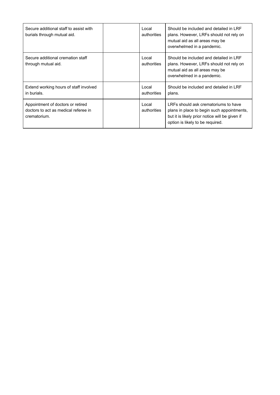| Secure additional staff to assist with<br>burials through mutual aid.                     | Local<br>authorities | Should be included and detailed in LRF<br>plans. However, LRFs should not rely on<br>mutual aid as all areas may be<br>overwhelmed in a pandemic.                        |
|-------------------------------------------------------------------------------------------|----------------------|--------------------------------------------------------------------------------------------------------------------------------------------------------------------------|
| Secure additional cremation staff<br>through mutual aid.                                  | Local<br>authorities | Should be included and detailed in LRF<br>plans. However, LRFs should not rely on<br>mutual aid as all areas may be<br>overwhelmed in a pandemic.                        |
| Extend working hours of staff involved<br>in burials.                                     | Local<br>authorities | Should be included and detailed in LRF<br>plans.                                                                                                                         |
| Appointment of doctors or retired<br>doctors to act as medical referee in<br>crematorium. | Local<br>authorities | LRFs should ask crematoriums to have<br>plans in place to begin such appointments,<br>but it is likely prior notice will be given if<br>option is likely to be required. |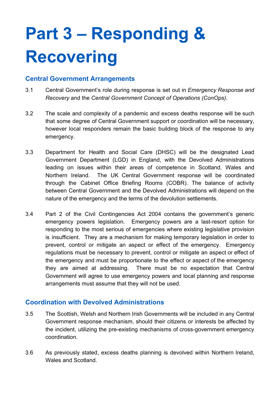# <span id="page-40-0"></span>**Part 3 – Responding & Recovering**

# <span id="page-40-1"></span>**Central Government Arrangements**

- 3.1 Central Government's role during response is set out in *[Emergency](https://www.gov.uk/guidance/emergency-response-and-recovery) Response and [Recovery](https://www.gov.uk/guidance/emergency-response-and-recovery)* and the *[Central Government Concept of Operations \(ConOps\)](https://www.gov.uk/government/publications/the-central-government-s-concept-of-operations)*.
- 3.2 The scale and complexity of a pandemic and excess deaths response will be such that some degree of Central Government support or coordination will be necessary, however local responders remain the basic building block of the response to any emergency.
- 3.3 Department for Health and Social Care (DHSC) will be the designated Lead Government Department (LGD) in England, with the Devolved Administrations leading on issues within their areas of competence in Scotland, Wales and Northern Ireland. The UK Central Government response will be coordinated through the Cabinet Office Briefing Rooms (COBR). The balance of activity between Central Government and the Devolved Administrations will depend on the nature of the emergency and the terms of the devolution settlements.
- 3.4 Part 2 of the Civil Contingencies Act 2004 contains the government's generic emergency powers legislation. Emergency powers are a last-resort option for responding to the most serious of emergencies where existing legislative provision is insufficient. They are a mechanism for making temporary legislation in order to prevent, control or mitigate an aspect or effect of the emergency. Emergency regulations must be necessary to prevent, control or mitigate an aspect or effect of the emergency and must be proportionate to the effect or aspect of the emergency they are aimed at addressing. There must be no expectation that Central Government will agree to use emergency powers and local planning and response arrangements must assume that they will not be used.

# <span id="page-40-2"></span>**Coordination with Devolved Administrations**

- 3.5 The Scottish, Welsh and Northern Irish Governments will be included in any Central Government response mechanism, should their citizens or interests be affected by the incident, utilizing the pre-existing mechanisms of cross-government emergency coordination.
- 3.6 As previously stated, excess deaths planning is devolved within Northern Ireland, Wales and Scotland.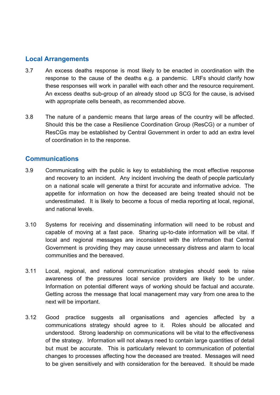# <span id="page-41-0"></span>**Local Arrangements**

- 3.7 An excess deaths response is most likely to be enacted in coordination with the response to the cause of the deaths e.g. a pandemic. LRFs should clarify how these responses will work in parallel with each other and the resource requirement. An excess deaths sub-group of an already stood up SCG for the cause, is advised with appropriate cells beneath, as recommended above.
- 3.8 The nature of a pandemic means that large areas of the country will be affected. Should this be the case a Resilience Coordination Group (ResCG) or a number of ResCGs may be established by Central Government in order to add an extra level of coordination in to the response.

# <span id="page-41-1"></span>**Communications**

- 3.9 Communicating with the public is key to establishing the most effective response and recovery to an incident. Any incident involving the death of people particularly on a national scale will generate a thirst for accurate and informative advice. The appetite for information on how the deceased are being treated should not be underestimated. It is likely to become a focus of media reporting at local, regional, and national levels.
- 3.10 Systems for receiving and disseminating information will need to be robust and capable of moving at a fast pace. Sharing up-to-date information will be vital. If local and regional messages are inconsistent with the information that Central Government is providing they may cause unnecessary distress and alarm to local communities and the bereaved.
- 3.11 Local, regional, and national communication strategies should seek to raise awareness of the pressures local service providers are likely to be under. Information on potential different ways of working should be factual and accurate. Getting across the message that local management may vary from one area to the next will be important.
- 3.12 Good practice suggests all organisations and agencies affected by a communications strategy should agree to it. Roles should be allocated and understood. Strong leadership on communications will be vital to the effectiveness of the strategy. Information will not always need to contain large quantities of detail but must be accurate. This is particularly relevant to communication of potential changes to processes affecting how the deceased are treated. Messages will need to be given sensitively and with consideration for the bereaved. It should be made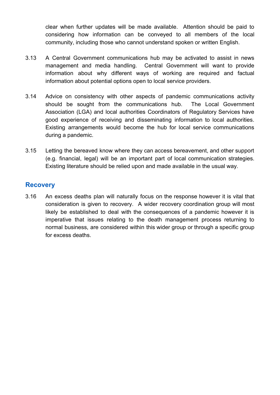clear when further updates will be made available. Attention should be paid to considering how information can be conveyed to all members of the local community, including those who cannot understand spoken or written English.

- 3.13 A Central Government communications hub may be activated to assist in news management and media handling. Central Government will want to provide information about why different ways of working are required and factual information about potential options open to local service providers.
- 3.14 Advice on consistency with other aspects of pandemic communications activity should be sought from the communications hub. The Local Government Association (LGA) and local authorities Coordinators of Regulatory Services have good experience of receiving and disseminating information to local authorities. Existing arrangements would become the hub for local service communications during a pandemic.
- 3.15 Letting the bereaved know where they can access bereavement, and other support (e.g. financial, legal) will be an important part of local communication strategies. Existing literature should be relied upon and made available in the usual way.

# <span id="page-42-0"></span>**Recovery**

3.16 An excess deaths plan will naturally focus on the response however it is vital that consideration is given to recovery. A wider recovery coordination group will most likely be established to deal with the consequences of a pandemic however it is imperative that issues relating to the death management process returning to normal business, are considered within this wider group or through a specific group for excess deaths.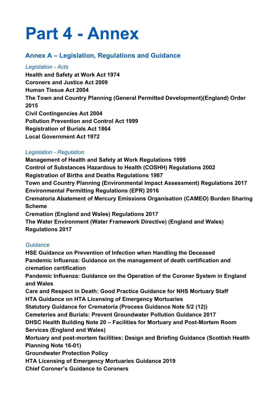# <span id="page-44-0"></span>**Part 4 - Annex**

# <span id="page-44-1"></span>**Annex A – Legislation, Regulations and Guidance**

## <span id="page-44-2"></span>*Legislation - Acts*

**Health and Safety at Work Act 1974 Coroners and Justice Act 2009 Human Tissue Act 2004 The Town and Country Planning (General Permitted Development)(England) Order 2015 Civil Contingencies Act 2004 Pollution Prevention and Control Act 1999 Registration of Burials Act 1864 Local Government Act 1972**

# <span id="page-44-3"></span>*Legislation - Regulation*

**Management of Health and Safety at Work Regulations 1999 Control of Substances Hazardous to Health (COSHH) Regulations 2002 Registration of Births and Deaths Regulations 1987 Town and Country Planning (Environmental Impact Assessment) Regulations 2017 Environmental Permitting Regulations (EPR) 2016 Crematoria Abatement of Mercury Emissions Organisation (CAMEO) Burden Sharing Scheme Cremation (England and Wales) Regulations 2017 The Water Environment (Water Framework Directive) (England and Wales) Regulations 2017**

# <span id="page-44-4"></span>*Guidance*

**HSE Guidance on Prevention of Infection when Handling the Deceased Pandemic Influenza: Guidance on the management of death certification and cremation certification Pandemic Influenza: Guidance on the Operation of the Coroner System in England and Wales Care and Respect in Death: Good Practice Guidance for NHS Mortuary Staff HTA Guidance on HTA Licensing of Emergency Mortuaries Statutory Guidance for Crematoria (Process Guidance Note 5/2 (12)) Cemeteries and Burials: Prevent Groundwater Pollution Guidance 2017 DHSC Health Building Note 20 – Facilities for Mortuary and Post-Mortem Room Services (England and Wales) Mortuary and post-mortem facilities: Design and Briefing Guidance (Scottish Health Planning Note 16-01) Groundwater Protection Policy HTA Licensing of Emergency Mortuaries Guidance 2019 Chief Coroner's Guidance to Coroners**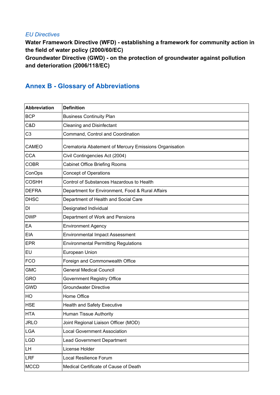### <span id="page-45-0"></span>*EU Directives*

**Water Framework Directive (WFD) - establishing a framework for community action in the field of water policy (2000/60/EC) Groundwater Directive (GWD) - on the protection of groundwater against pollution and deterioration (2006/118/EC)**

# <span id="page-45-1"></span>**Annex B - Glossary of Abbreviations**

| <b>Abbreviation</b> | <b>Definition</b>                                      |
|---------------------|--------------------------------------------------------|
| <b>BCP</b>          | <b>Business Continuity Plan</b>                        |
| C&D                 | <b>Cleaning and Disinfectant</b>                       |
| C <sub>3</sub>      | Command, Control and Coordination                      |
| CAMEO               | Crematoria Abatement of Mercury Emissions Organisation |
| <b>CCA</b>          | Civil Contingencies Act (2004)                         |
| <b>COBR</b>         | <b>Cabinet Office Briefing Rooms</b>                   |
| ConOps              | <b>Concept of Operations</b>                           |
| <b>COSHH</b>        | Control of Substances Hazardous to Health              |
| <b>DEFRA</b>        | Department for Environment, Food & Rural Affairs       |
| <b>DHSC</b>         | Department of Health and Social Care                   |
| DI                  | Designated Individual                                  |
| <b>DWP</b>          | Department of Work and Pensions                        |
| EA                  | <b>Environment Agency</b>                              |
| <b>EIA</b>          | <b>Environmental Impact Assessment</b>                 |
| <b>EPR</b>          | <b>Environmental Permitting Regulations</b>            |
| EU                  | European Union                                         |
| <b>FCO</b>          | Foreign and Commonwealth Office                        |
| <b>GMC</b>          | <b>General Medical Council</b>                         |
| <b>GRO</b>          | Government Registry Office                             |
| <b>GWD</b>          | <b>Groundwater Directive</b>                           |
| HO                  | Home Office                                            |
| <b>HSE</b>          | <b>Health and Safety Executive</b>                     |
| <b>HTA</b>          | Human Tissue Authority                                 |
| <b>JRLO</b>         | Joint Regional Liaison Officer (MOD)                   |
| <b>LGA</b>          | <b>Local Government Association</b>                    |
| <b>LGD</b>          | <b>Lead Government Department</b>                      |
| LH.                 | License Holder                                         |
| <b>LRF</b>          | <b>Local Resilience Forum</b>                          |
| <b>MCCD</b>         | Medical Certificate of Cause of Death                  |